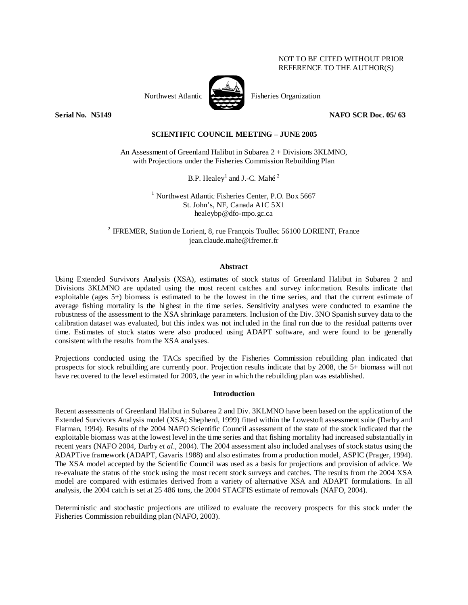# NOT TO BE CITED WITHOUT PRIOR REFERENCE TO THE AUTHOR(S)



**Serial No. N5149 NAFO SCR Doc. 05/ 63** 

# **SCIENTIFIC COUNCIL MEETING – JUNE 2005**

An Assessment of Greenland Halibut in Subarea 2 + Divisions 3KLMNO, with Projections under the Fisheries Commission Rebuilding Plan

B.P. Healey<sup>1</sup> and J.-C. Mahé<sup>2</sup>

<sup>1</sup> Northwest Atlantic Fisheries Center, P.O. Box 5667 St. John's, NF, Canada A1C 5X1 healeybp@dfo-mpo.gc.ca

2 IFREMER, Station de Lorient, 8, rue François Toullec 56100 LORIENT, France jean.claude.mahe@ifremer.fr

## **Abstract**

Using Extended Survivors Analysis (XSA), estimates of stock status of Greenland Halibut in Subarea 2 and Divisions 3KLMNO are updated using the most recent catches and survey information. Results indicate that exploitable (ages 5+) biomass is estimated to be the lowest in the time series, and that the current estimate of average fishing mortality is the highest in the time series. Sensitivity analyses were conducted to examine the robustness of the assessment to the XSA shrinkage parameters. Inclusion of the Div. 3NO Spanish survey data to the calibration dataset was evaluated, but this index was not included in the final run due to the residual patterns over time. Estimates of stock status were also produced using ADAPT software, and were found to be generally consistent with the results from the XSA analyses.

Projections conducted using the TACs specified by the Fisheries Commission rebuilding plan indicated that prospects for stock rebuilding are currently poor. Projection results indicate that by 2008, the 5+ biomass will not have recovered to the level estimated for 2003, the year in which the rebuilding plan was established.

## **Introduction**

Recent assessments of Greenland Halibut in Subarea 2 and Div. 3KLMNO have been based on the application of the Extended Survivors Analysis model (XSA; Shepherd, 1999) fitted within the Lowestoft assessment suite (Darby and Flatman, 1994). Results of the 2004 NAFO Scientific Council assessment of the state of the stock indicated that the exploitable biomass was at the lowest level in the time series and that fishing mortality had increased substantially in recent years (NAFO 2004, Darby *et al*., 2004). The 2004 assessment also included analyses of stock status using the ADAPTive framework (ADAPT, Gavaris 1988) and also estimates from a production model, ASPIC (Prager, 1994). The XSA model accepted by the Scientific Council was used as a basis for projections and provision of advice. We re-evaluate the status of the stock using the most recent stock surveys and catches. The results from the 2004 XSA model are compared with estimates derived from a variety of alternative XSA and ADAPT formulations. In all analysis, the 2004 catch is set at 25 486 tons, the 2004 STACFIS estimate of removals (NAFO, 2004).

Deterministic and stochastic projections are utilized to evaluate the recovery prospects for this stock under the Fisheries Commission rebuilding plan (NAFO, 2003).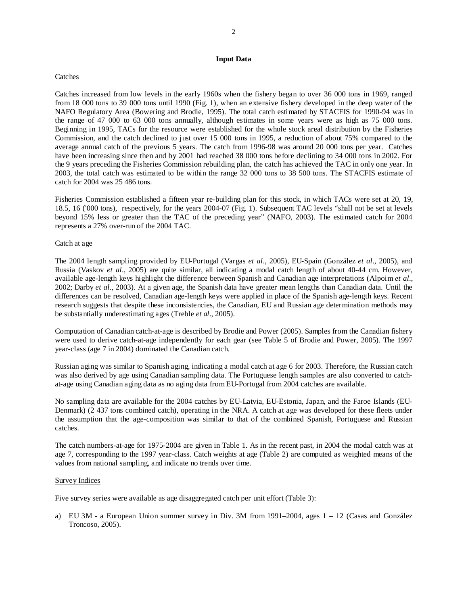# **Input Data**

## Catches

Catches increased from low levels in the early 1960s when the fishery began to over 36 000 tons in 1969, ranged from 18 000 tons to 39 000 tons until 1990 (Fig. 1), when an extensive fishery developed in the deep water of the NAFO Regulatory Area (Bowering and Brodie, 1995). The total catch estimated by STACFIS for 1990-94 was in the range of 47 000 to 63 000 tons annually, although estimates in some years were as high as 75 000 tons. Beginning in 1995, TACs for the resource were established for the whole stock areal distribution by the Fisheries Commission, and the catch declined to just over 15 000 tons in 1995, a reduction of about 75% compared to the average annual catch of the previous 5 years. The catch from 1996-98 was around 20 000 tons per year. Catches have been increasing since then and by 2001 had reached 38 000 tons before declining to 34 000 tons in 2002. For the 9 years preceding the Fisheries Commission rebuilding plan, the catch has achieved the TAC in only one year. In 2003, the total catch was estimated to be within the range 32 000 tons to 38 500 tons. The STACFIS estimate of catch for 2004 was 25 486 tons.

Fisheries Commission established a fifteen year re-building plan for this stock, in which TACs were set at 20, 19, 18.5, 16 ('000 tons), respectively, for the years 2004-07 (Fig. 1). Subsequent TAC levels "shall not be set at levels beyond 15% less or greater than the TAC of the preceding year" (NAFO, 2003). The estimated catch for 2004 represents a 27% over-run of the 2004 TAC.

## Catch at age

The 2004 length sampling provided by EU-Portugal (Vargas *et al*., 2005), EU-Spain (González *et al*., 2005), and Russia (Vaskov *et al*., 2005) are quite similar, all indicating a modal catch length of about 40-44 cm. However, available age-length keys highlight the difference between Spanish and Canadian age interpretations (Alpoim *et al*., 2002; Darby *et al*., 2003). At a given age, the Spanish data have greater mean lengths than Canadian data. Until the differences can be resolved, Canadian age-length keys were applied in place of the Spanish age-length keys. Recent research suggests that despite these inconsistencies, the Canadian, EU and Russian age determination methods may be substantially underestimating ages (Treble *et al*., 2005).

Computation of Canadian catch-at-age is described by Brodie and Power (2005). Samples from the Canadian fishery were used to derive catch-at-age independently for each gear (see Table 5 of Brodie and Power, 2005). The 1997 year-class (age 7 in 2004) dominated the Canadian catch.

Russian aging was similar to Spanish aging, indicating a modal catch at age 6 for 2003. Therefore, the Russian catch was also derived by age using Canadian sampling data. The Portuguese length samples are also converted to catchat-age using Canadian aging data as no aging data from EU-Portugal from 2004 catches are available.

No sampling data are available for the 2004 catches by EU-Latvia, EU-Estonia, Japan, and the Faroe Islands (EU-Denmark) (2 437 tons combined catch), operating in the NRA. A catch at age was developed for these fleets under the assumption that the age-composition was similar to that of the combined Spanish, Portuguese and Russian catches.

The catch numbers-at-age for 1975-2004 are given in Table 1. As in the recent past, in 2004 the modal catch was at age 7, corresponding to the 1997 year-class. Catch weights at age (Table 2) are computed as weighted means of the values from national sampling, and indicate no trends over time.

## Survey Indices

Five survey series were available as age disaggregated catch per unit effort (Table 3):

a) EU 3M - a European Union summer survey in Div. 3M from 1991–2004, ages 1 – 12 (Casas and González Troncoso, 2005).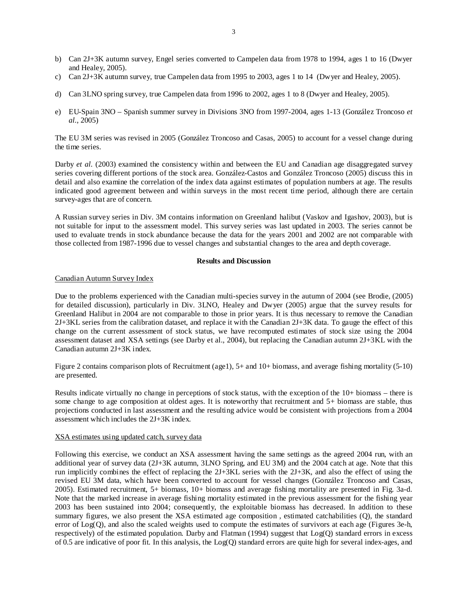- b) Can 2J+3K autumn survey, Engel series converted to Campelen data from 1978 to 1994, ages 1 to 16 (Dwyer and Healey, 2005).
- c) Can 2J+3K autumn survey, true Campelen data from 1995 to 2003, ages 1 to 14 (Dwyer and Healey, 2005).
- d) Can 3LNO spring survey, true Campelen data from 1996 to 2002, ages 1 to 8 (Dwyer and Healey, 2005).
- e) EU-Spain 3NO Spanish summer survey in Divisions 3NO from 1997-2004, ages 1-13 (González Troncoso *et al.*, 2005)

The EU 3M series was revised in 2005 (González Troncoso and Casas, 2005) to account for a vessel change during the time series.

Darby *et al.* (2003) examined the consistency within and between the EU and Canadian age disaggregated survey series covering different portions of the stock area. González-Castos and González Troncoso (2005) discuss this in detail and also examine the correlation of the index data against estimates of population numbers at age. The results indicated good agreement between and within surveys in the most recent time period, although there are certain survey-ages that are of concern.

A Russian survey series in Div. 3M contains information on Greenland halibut (Vaskov and Igashov, 2003), but is not suitable for input to the assessment model. This survey series was last updated in 2003. The series cannot be used to evaluate trends in stock abundance because the data for the years 2001 and 2002 are not comparable with those collected from 1987-1996 due to vessel changes and substantial changes to the area and depth coverage.

# **Results and Discussion**

# Canadian Autumn Survey Index

Due to the problems experienced with the Canadian multi-species survey in the autumn of 2004 (see Brodie, (2005) for detailed discussion), particularly in Div. 3LNO, Healey and Dwyer (2005) argue that the survey results for Greenland Halibut in 2004 are not comparable to those in prior years. It is thus necessary to remove the Canadian 2J+3KL series from the calibration dataset, and replace it with the Canadian 2J+3K data. To gauge the effect of this change on the current assessment of stock status, we have recomputed estimates of stock size using the 2004 assessment dataset and XSA settings (see Darby et al., 2004), but replacing the Canadian autumn 2J+3KL with the Canadian autumn 2J+3K index.

Figure 2 contains comparison plots of Recruitment (age1), 5+ and 10+ biomass, and average fishing mortality (5-10) are presented.

Results indicate virtually no change in perceptions of stock status, with the exception of the 10+ biomass – there is some change to age composition at oldest ages. It is noteworthy that recruitment and 5+ biomass are stable, thus projections conducted in last assessment and the resulting advice would be consistent with projections from a 2004 assessment which includes the 2J+3K index.

# XSA estimates using updated catch, survey data

Following this exercise, we conduct an XSA assessment having the same settings as the agreed 2004 run, with an additional year of survey data (2J+3K autumn, 3LNO Spring, and EU 3M) and the 2004 catch at age. Note that this run implicitly combines the effect of replacing the 2J+3KL series with the 2J+3K, and also the effect of using the revised EU 3M data, which have been converted to account for vessel changes (González Troncoso and Casas, 2005). Estimated recruitment, 5+ biomass, 10+ biomass and average fishing mortality are presented in Fig. 3a-d. Note that the marked increase in average fishing mortality estimated in the previous assessment for the fishing year 2003 has been sustained into 2004; consequently, the exploitable biomass has decreased. In addition to these summary figures, we also present the XSA estimated age composition , estimated catchabilities (Q), the standard error of Log(Q), and also the scaled weights used to compute the estimates of survivors at each age (Figures 3e-h, respectively) of the estimated population. Darby and Flatman (1994) suggest that Log(Q) standard errors in excess of 0.5 are indicative of poor fit. In this analysis, the Log(Q) standard errors are quite high for several index-ages, and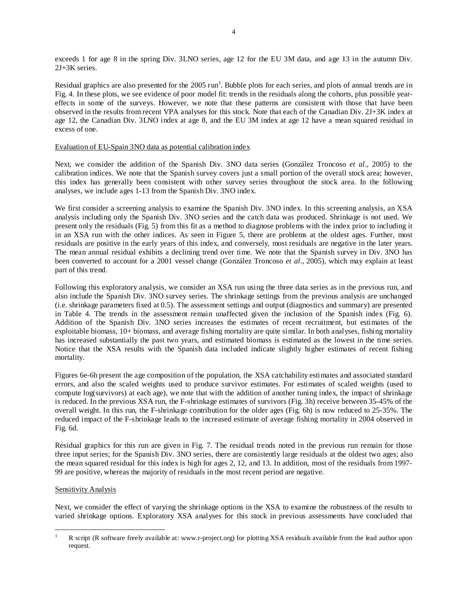exceeds 1 for age 8 in the spring Div. 3LNO series, age 12 for the EU 3M data, and age 13 in the autumn Div. 2J+3K series.

Residual graphics are also presented for the 2005 run<sup>1</sup>. Bubble plots for each series, and plots of annual trends are in Fig. 4. In these plots, we see evidence of poor model fit: trends in the residuals along the cohorts, plus possible yeareffects in some of the surveys. However, we note that these patterns are consistent with those that have been observed in the results from recent VPA analyses for this stock. Note that each of the Canadian Div. 2J+3K index at age 12, the Canadian Div. 3LNO index at age 8, and the EU 3M index at age 12 have a mean squared residual in excess of one.

# Evaluation of EU-Spain 3NO data as potential calibration index

Next, we consider the addition of the Spanish Div. 3NO data series (González Troncoso *et al*., 2005) to the calibration indices. We note that the Spanish survey covers just a small portion of the overall stock area; however, this index has generally been consistent with other survey series throughout the stock area. In the following analyses, we include ages 1-13 from the Spanish Div. 3NO index.

We first consider a screening analysis to examine the Spanish Div. 3NO index. In this screening analysis, an XSA analysis including only the Spanish Div. 3NO series and the catch data was produced. Shrinkage is not used. We present only the residuals (Fig. 5) from this fit as a method to diagnose problems with the index prior to including it in an XSA run with the other indices. As seen in Figure 5, there are problems at the oldest ages. Further, most residuals are positive in the early years of this index, and conversely, most residuals are negative in the later years. The mean annual residual exhibits a declining trend over time. We note that the Spanish survey in Div. 3NO has been converted to account for a 2001 vessel change (González Troncoso *et al*., 2005), which may explain at least part of this trend.

Following this exploratory analysis, we consider an XSA run using the three data series as in the previous run, and also include the Spanish Div. 3NO survey series. The shrinkage settings from the previous analysis are unchanged (i.e. shrinkage parameters fixed at 0.5). The assessment settings and output (diagnostics and summary) are presented in Table 4. The trends in the assessment remain unaffected given the inclusion of the Spanish index (Fig. 6). Addition of the Spanish Div. 3NO series increases the estimates of recent recruitment, but estimates of the exploitable biomass, 10+ biomass, and average fishing mortality are quite similar. In both analyses, fishing mortality has increased substantially the past two years, and estimated biomass is estimated as the lowest in the time series. Notice that the XSA results with the Spanish data included indicate slightly higher estimates of recent fishing mortality.

Figures 6e-6h present the age composition of the population, the XSA catchability estimates and associated standard errors, and also the scaled weights used to produce survivor estimates. For estimates of scaled weights (used to compute log(survivors) at each age), we note that with the addition of another tuning index, the impact of shrinkage is reduced. In the previous XSA run, the F-shrinkage estimates of survivors (Fig. 3h) receive between 35-45% of the overall weight. In this run, the F-shrinkage contribution for the older ages (Fig. 6h) is now reduced to 25-35%. The reduced impact of the F-shrinkage leads to the increased estimate of average fishing mortality in 2004 observed in Fig. 6d.

Residual graphics for this run are given in Fig. 7. The residual trends noted in the previous run remain for those three input series; for the Spanish Div. 3NO series, there are consistently large residuals at the oldest two ages; also the mean squared residual for this index is high for ages 2, 12, and 13. In addition, most of the residuals from 1997- 99 are positive, whereas the majority of residuals in the most recent period are negative.

# Sensitivity Analysis

 $\overline{a}$ 

Next, we consider the effect of varying the shrinkage options in the XSA to examine the robustness of the results to varied shrinkage options. Exploratory XSA analyses for this stock in previous assessments have concluded that

<sup>1</sup> R script (R software freely available at: www.r-project.org) for plotting XSA residuals available from the lead author upon request.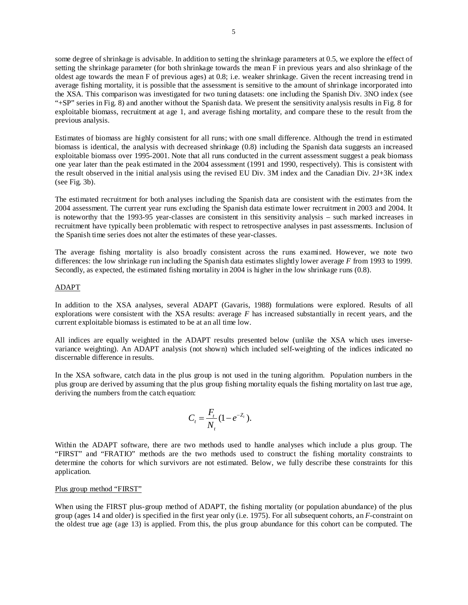some degree of shrinkage is advisable. In addition to setting the shrinkage parameters at 0.5, we explore the effect of setting the shrinkage parameter (for both shrinkage towards the mean  $\overline{F}$  in previous years and also shrinkage of the oldest age towards the mean F of previous ages) at 0.8; i.e. weaker shrinkage. Given the recent increasing trend in average fishing mortality, it is possible that the assessment is sensitive to the amount of shrinkage incorporated into the XSA. This comparison was investigated for two tuning datasets: one including the Spanish Div. 3NO index (see "+SP" series in Fig. 8) and another without the Spanish data. We present the sensitivity analysis results in Fig. 8 for exploitable biomass, recruitment at age 1, and average fishing mortality, and compare these to the result from the previous analysis.

Estimates of biomass are highly consistent for all runs; with one small difference. Although the trend in estimated biomass is identical, the analysis with decreased shrinkage (0.8) including the Spanish data suggests an increased exploitable biomass over 1995-2001. Note that all runs conducted in the current assessment suggest a peak biomass one year later than the peak estimated in the 2004 assessment (1991 and 1990, respectively). This is consistent with the result observed in the initial analysis using the revised EU Div. 3M index and the Canadian Div. 2J+3K index (see Fig. 3b).

The estimated recruitment for both analyses including the Spanish data are consistent with the estimates from the 2004 assessment. The current year runs excluding the Spanish data estimate lower recruitment in 2003 and 2004. It is noteworthy that the 1993-95 year-classes are consistent in this sensitivity analysis – such marked increases in recruitment have typically been problematic with respect to retrospective analyses in past assessments. Inclusion of the Spanish time series does not alter the estimates of these year-classes.

The average fishing mortality is also broadly consistent across the runs examined. However, we note two differences: the low shrinkage run including the Spanish data estimates slightly lower average *F* from 1993 to 1999. Secondly, as expected, the estimated fishing mortality in 2004 is higher in the low shrinkage runs (0.8).

## ADAPT

In addition to the XSA analyses, several ADAPT (Gavaris, 1988) formulations were explored. Results of all explorations were consistent with the XSA results: average *F* has increased substantially in recent years, and the current exploitable biomass is estimated to be at an all time low.

All indices are equally weighted in the ADAPT results presented below (unlike the XSA which uses inversevariance weighting). An ADAPT analysis (not shown) which included self-weighting of the indices indicated no discernable difference in results.

In the XSA software, catch data in the plus group is not used in the tuning algorithm. Population numbers in the plus group are derived by assuming that the plus group fishing mortality equals the fishing mortality on last true age, deriving the numbers from the catch equation:

$$
C_t = \frac{F_t}{N_t} (1 - e^{-Z_t}).
$$

Within the ADAPT software, there are two methods used to handle analyses which include a plus group. The "FIRST" and "FRATIO" methods are the two methods used to construct the fishing mortality constraints to determine the cohorts for which survivors are not estimated. Below, we fully describe these constraints for this application.

## Plus group method "FIRST"

When using the FIRST plus-group method of ADAPT, the fishing mortality (or population abundance) of the plus group (ages 14 and older) is specified in the first year only (i.e. 1975). For all subsequent cohorts, an *F*-constraint on the oldest true age (age 13) is applied. From this, the plus group abundance for this cohort can be computed. The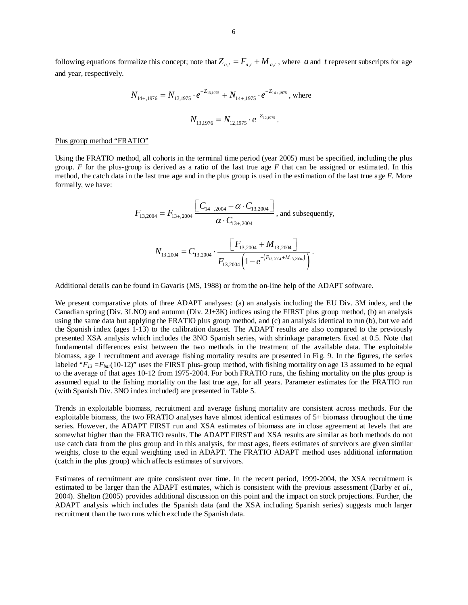following equations formalize this concept; note that  $Z_{a,t} = F_{a,t} + M_{a,t}$ , where *a* and *t* represent subscripts for age and year, respectively.

$$
N_{14+,1976} = N_{13,1975} \cdot e^{-Z_{13,1975}} + N_{14+,1975} \cdot e^{-Z_{14+1975}}, \text{ where}
$$
  

$$
N_{13,1976} = N_{12,1975} \cdot e^{-Z_{12,1975}}.
$$

#### Plus group method "FRATIO"

Using the FRATIO method, all cohorts in the terminal time period (year 2005) must be specified, including the plus group. *F* for the plus-group is derived as a ratio of the last true age *F* that can be assigned or estimated. In this method, the catch data in the last true age and in the plus group is used in the estimation of the last true age *F*. More formally, we have:

$$
F_{13,2004} = F_{13+,2004} \frac{\left[C_{14+,2004} + \alpha \cdot C_{13,2004}\right]}{\alpha \cdot C_{13+,2004}}, \text{ and subsequently,}
$$

$$
N_{13,2004} = C_{13,2004} \cdot \frac{\left[F_{13,2004} + M_{13,2004}\right]}{F_{13,2004} \left(1 - e^{-\left(F_{13,2004} + M_{13,2004}\right)}\right)}.
$$

Additional details can be found in Gavaris (MS, 1988) or from the on-line help of the ADAPT software.

We present comparative plots of three ADAPT analyses: (a) an analysis including the EU Div. 3M index, and the Canadian spring (Div. 3LNO) and autumn (Div. 2J+3K) indices using the FIRST plus group method, (b) an analysis using the same data but applying the FRATIO plus group method, and (c) an analysis identical to run (b), but we add the Spanish index (ages 1-13) to the calibration dataset. The ADAPT results are also compared to the previously presented XSA analysis which includes the 3NO Spanish series, with shrinkage parameters fixed at 0.5. Note that fundamental differences exist between the two methods in the treatment of the available data. The exploitable biomass, age 1 recruitment and average fishing mortality results are presented in Fig. 9. In the figures, the series labeled "*F<sub>13</sub> =F<sub>bar</sub>*(10-12)" uses the FIRST plus-group method, with fishing mortality on age 13 assumed to be equal to the average of that ages 10-12 from 1975-2004. For both FRATIO runs, the fishing mortality on the plus group is assumed equal to the fishing mortality on the last true age, for all years. Parameter estimates for the FRATIO run (with Spanish Div. 3NO index included) are presented in Table 5.

Trends in exploitable biomass, recruitment and average fishing mortality are consistent across methods. For the exploitable biomass, the two FRATIO analyses have almost identical estimates of 5+ biomass throughout the time series. However, the ADAPT FIRST run and XSA estimates of biomass are in close agreement at levels that are somewhat higher than the FRATIO results. The ADAPT FIRST and XSA results are similar as both methods do not use catch data from the plus group and in this analysis, for most ages, fleets estimates of survivors are given similar weights, close to the equal weighting used in ADAPT. The FRATIO ADAPT method uses additional information (catch in the plus group) which affects estimates of survivors.

Estimates of recruitment are quite consistent over time. In the recent period, 1999-2004, the XSA recruitment is estimated to be larger than the ADAPT estimates, which is consistent with the previous assessment (Darby *et al*., 2004). Shelton (2005) provides additional discussion on this point and the impact on stock projections. Further, the ADAPT analysis which includes the Spanish data (and the XSA including Spanish series) suggests much larger recruitment than the two runs which exclude the Spanish data.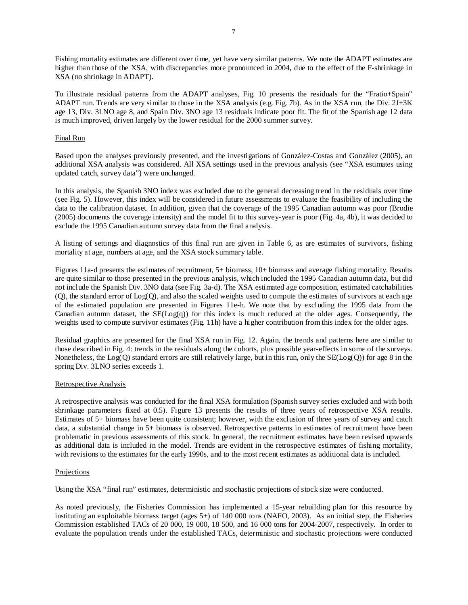Fishing mortality estimates are different over time, yet have very similar patterns. We note the ADAPT estimates are higher than those of the XSA, with discrepancies more pronounced in 2004, due to the effect of the F-shrinkage in XSA (no shrinkage in ADAPT).

To illustrate residual patterns from the ADAPT analyses, Fig. 10 presents the residuals for the "Fratio+Spain" ADAPT run. Trends are very similar to those in the XSA analysis (e.g. Fig. 7b). As in the XSA run, the Div. 2J+3K age 13, Div. 3LNO age 8, and Spain Div. 3NO age 13 residuals indicate poor fit. The fit of the Spanish age 12 data is much improved, driven largely by the lower residual for the 2000 summer survey.

# Final Run

Based upon the analyses previously presented, and the investigations of González-Costas and González (2005), an additional XSA analysis was considered. All XSA settings used in the previous analysis (see "XSA estimates using updated catch, survey data") were unchanged.

In this analysis, the Spanish 3NO index was excluded due to the general decreasing trend in the residuals over time (see Fig. 5). However, this index will be considered in future assessments to evaluate the feasibility of including the data to the calibration dataset. In addition, given that the coverage of the 1995 Canadian autumn was poor (Brodie (2005) documents the coverage intensity) and the model fit to this survey-year is poor (Fig. 4a, 4b), it was decided to exclude the 1995 Canadian autumn survey data from the final analysis.

A listing of settings and diagnostics of this final run are given in Table 6, as are estimates of survivors, fishing mortality at age, numbers at age, and the XSA stock summary table.

Figures 11a-d presents the estimates of recruitment, 5+ biomass, 10+ biomass and average fishing mortality. Results are quite similar to those presented in the previous analysis, which included the 1995 Canadian autumn data, but did not include the Spanish Div. 3NO data (see Fig. 3a-d). The XSA estimated age composition, estimated catchabilities (Q), the standard error of Log(Q), and also the scaled weights used to compute the estimates of survivors at each age of the estimated population are presented in Figures 11e-h. We note that by excluding the 1995 data from the Canadian autumn dataset, the  $SE(Log(q))$  for this index is much reduced at the older ages. Consequently, the weights used to compute survivor estimates (Fig. 11h) have a higher contribution from this index for the older ages.

Residual graphics are presented for the final XSA run in Fig. 12. Again, the trends and patterns here are similar to those described in Fig. 4: trends in the residuals along the cohorts, plus possible year-effects in some of the surveys. Nonetheless, the  $Log(Q)$  standard errors are still relatively large, but in this run, only the  $SE(Log(Q))$  for age 8 in the spring Div. 3LNO series exceeds 1.

# Retrospective Analysis

A retrospective analysis was conducted for the final XSA formulation (Spanish survey series excluded and with both shrinkage parameters fixed at 0.5). Figure 13 presents the results of three years of retrospective XSA results. Estimates of 5+ biomass have been quite consistent; however, with the exclusion of three years of survey and catch data, a substantial change in 5+ biomass is observed. Retrospective patterns in estimates of recruitment have been problematic in previous assessments of this stock. In general, the recruitment estimates have been revised upwards as additional data is included in the model. Trends are evident in the retrospective estimates of fishing mortality, with revisions to the estimates for the early 1990s, and to the most recent estimates as additional data is included.

# Projections

Using the XSA "final run" estimates, deterministic and stochastic projections of stock size were conducted.

As noted previously, the Fisheries Commission has implemented a 15-year rebuilding plan for this resource by instituting an exploitable biomass target (ages 5+) of 140 000 tons (NAFO, 2003). As an initial step, the Fisheries Commission established TACs of 20 000, 19 000, 18 500, and 16 000 tons for 2004-2007, respectively. In order to evaluate the population trends under the established TACs, deterministic and stochastic projections were conducted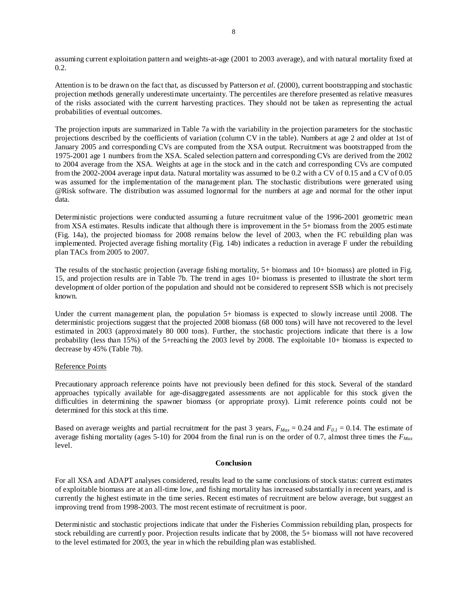assuming current exploitation pattern and weights-at-age (2001 to 2003 average), and with natural mortality fixed at 0.2.

Attention is to be drawn on the fact that, as discussed by Patterson *et al.* (2000), current bootstrapping and stochastic projection methods generally underestimate uncertainty. The percentiles are therefore presented as relative measures of the risks associated with the current harvesting practices. They should not be taken as representing the actual probabilities of eventual outcomes.

The projection inputs are summarized in Table 7a with the variability in the projection parameters for the stochastic projections described by the coefficients of variation (column CV in the table). Numbers at age 2 and older at 1st of January 2005 and corresponding CVs are computed from the XSA output. Recruitment was bootstrapped from the 1975-2001 age 1 numbers from the XSA. Scaled selection pattern and corresponding CVs are derived from the 2002 to 2004 average from the XSA. Weights at age in the stock and in the catch and corresponding CVs are computed from the 2002-2004 average input data. Natural mortality was assumed to be 0.2 with a CV of 0.15 and a CV of 0.05 was assumed for the implementation of the management plan. The stochastic distributions were generated using @Risk software. The distribution was assumed lognormal for the numbers at age and normal for the other input data.

Deterministic projections were conducted assuming a future recruitment value of the 1996-2001 geometric mean from XSA estimates. Results indicate that although there is improvement in the 5+ biomass from the 2005 estimate (Fig. 14a), the projected biomass for 2008 remains below the level of 2003, when the FC rebuilding plan was implemented. Projected average fishing mortality (Fig. 14b) indicates a reduction in average F under the rebuilding plan TACs from 2005 to 2007.

The results of the stochastic projection (average fishing mortality, 5+ biomass and 10+ biomass) are plotted in Fig. 15, and projection results are in Table 7b. The trend in ages 10+ biomass is presented to illustrate the short term development of older portion of the population and should not be considered to represent SSB which is not precisely known.

Under the current management plan, the population 5+ biomass is expected to slowly increase until 2008. The deterministic projections suggest that the projected 2008 biomass (68 000 tons) will have not recovered to the level estimated in 2003 (approximately 80 000 tons). Further, the stochastic projections indicate that there is a low probability (less than 15%) of the 5+reaching the 2003 level by 2008. The exploitable 10+ biomass is expected to decrease by 45% (Table 7b).

# Reference Points

Precautionary approach reference points have not previously been defined for this stock. Several of the standard approaches typically available for age-disaggregated assessments are not applicable for this stock given the difficulties in determining the spawner biomass (or appropriate proxy). Limit reference points could not be determined for this stock at this time.

Based on average weights and partial recruitment for the past 3 years,  $F_{Max} = 0.24$  and  $F_{0.1} = 0.14$ . The estimate of average fishing mortality (ages 5-10) for 2004 from the final run is on the order of 0.7, almost three times the  $F_{Max}$ level.

# **Conclusion**

For all XSA and ADAPT analyses considered, results lead to the same conclusions of stock status: current estimates of exploitable biomass are at an all-time low, and fishing mortality has increased substantially in recent years, and is currently the highest estimate in the time series. Recent estimates of recruitment are below average, but suggest an improving trend from 1998-2003. The most recent estimate of recruitment is poor.

Deterministic and stochastic projections indicate that under the Fisheries Commission rebuilding plan, prospects for stock rebuilding are currently poor. Projection results indicate that by 2008, the 5+ biomass will not have recovered to the level estimated for 2003, the year in which the rebuilding plan was established.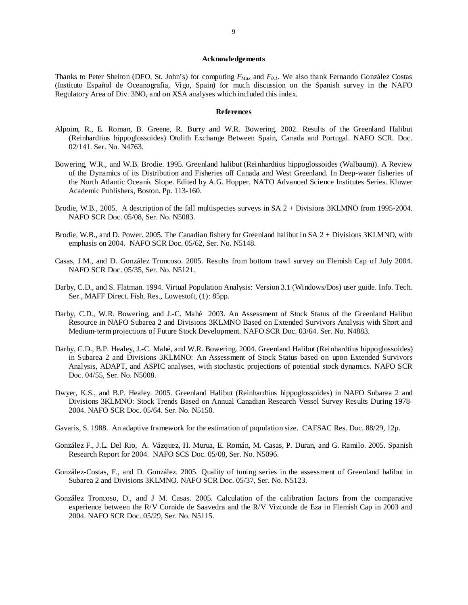## **Acknowledgements**

Thanks to Peter Shelton (DFO, St. John's) for computing *FMax* and *F0.1*. We also thank Fernando González Costas (Instituto Español de Oceanografia, Vigo, Spain) for much discussion on the Spanish survey in the NAFO Regulatory Area of Div. 3NO, and on XSA analyses which included this index.

## **References**

- Alpoim, R., E. Roman, B. Greene, R. Burry and W.R. Bowering. 2002. Results of the Greenland Halibut (Reinhardtius hippoglossoides) Otolith Exchange Between Spain, Canada and Portugal. NAFO SCR. Doc. 02/141. Ser. No. N4763.
- Bowering, W.R., and W.B. Brodie. 1995. Greenland halibut (Reinhardtius hippoglossoides (Walbaum)). A Review of the Dynamics of its Distribution and Fisheries off Canada and West Greenland. In Deep-water fisheries of the North Atlantic Oceanic Slope. Edited by A.G. Hopper. NATO Advanced Science Institutes Series. Kluwer Academic Publishers, Boston. Pp. 113-160.
- Brodie, W.B., 2005. A description of the fall multispecies surveys in SA 2 + Divisions 3KLMNO from 1995-2004. NAFO SCR Doc. 05/08, Ser. No. N5083.
- Brodie, W.B., and D. Power. 2005. The Canadian fishery for Greenland halibut in SA 2 + Divisions 3KLMNO, with emphasis on 2004. NAFO SCR Doc. 05/62, Ser. No. N5148.
- Casas, J.M., and D. González Troncoso. 2005. Results from bottom trawl survey on Flemish Cap of July 2004. NAFO SCR Doc. 05/35, Ser. No. N5121.
- Darby, C.D., and S. Flatman. 1994. Virtual Population Analysis: Version 3.1 (Windows/Dos) user guide. Info. Tech. Ser., MAFF Direct. Fish. Res., Lowestoft, (1): 85pp.
- Darby, C.D., W.R. Bowering, and J.-C. Mahé 2003. An Assessment of Stock Status of the Greenland Halibut Resource in NAFO Subarea 2 and Divisions 3KLMNO Based on Extended Survivors Analysis with Short and Medium-term projections of Future Stock Development. NAFO SCR Doc. 03/64. Ser. No. N4883.
- Darby, C.D., B.P. Healey, J.-C. Mahé, and W.R. Bowering. 2004. Greenland Halibut (Reinhardtius hippoglossoides) in Subarea 2 and Divisions 3KLMNO: An Assessment of Stock Status based on upon Extended Survivors Analysis, ADAPT, and ASPIC analyses, with stochastic projections of potential stock dynamics. NAFO SCR Doc. 04/55, Ser. No. N5008.
- Dwyer, K.S., and B.P. Healey. 2005. Greenland Halibut (Reinhardtius hippoglossoides) in NAFO Subarea 2 and Divisions 3KLMNO: Stock Trends Based on Annual Canadian Research Vessel Survey Results During 1978- 2004. NAFO SCR Doc. 05/64. Ser. No. N5150.
- Gavaris, S. 1988. An adaptive framework for the estimation of population size. CAFSAC Res. Doc. 88/29, 12p.
- González F., J.L. Del Rio, A. Vázquez, H. Murua, E. Román, M. Casas, P. Duran, and G. Ramilo. 2005. Spanish Research Report for 2004. NAFO SCS Doc. 05/08, Ser. No. N5096.
- González-Costas, F., and D. González. 2005. Quality of tuning series in the assessment of Greenland halibut in Subarea 2 and Divisions 3KLMNO. NAFO SCR Doc. 05/37, Ser. No. N5123.
- González Troncoso, D., and J M. Casas. 2005. Calculation of the calibration factors from the comparative experience between the R/V Cornide de Saavedra and the R/V Vizconde de Eza in Flemish Cap in 2003 and 2004. NAFO SCR Doc. 05/29, Ser. No. N5115.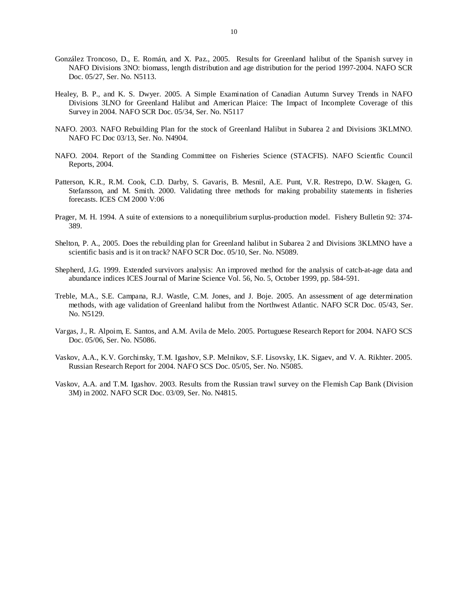- González Troncoso, D., E. Román, and X. Paz., 2005. Results for Greenland halibut of the Spanish survey in NAFO Divisions 3NO: biomass, length distribution and age distribution for the period 1997-2004. NAFO SCR Doc. 05/27, Ser. No. N5113.
- Healey, B. P., and K. S. Dwyer. 2005. A Simple Examination of Canadian Autumn Survey Trends in NAFO Divisions 3LNO for Greenland Halibut and American Plaice: The Impact of Incomplete Coverage of this Survey in 2004. NAFO SCR Doc. 05/34, Ser. No. N5117
- NAFO. 2003. NAFO Rebuilding Plan for the stock of Greenland Halibut in Subarea 2 and Divisions 3KLMNO. NAFO FC Doc 03/13, Ser. No. N4904.
- NAFO. 2004. Report of the Standing Committee on Fisheries Science (STACFIS). NAFO Scientfic Council Reports, 2004.
- Patterson, K.R., R.M. Cook, C.D. Darby, S. Gavaris, B. Mesnil, A.E. Punt, V.R. Restrepo, D.W. Skagen, G. Stefansson, and M. Smith. 2000. Validating three methods for making probability statements in fisheries forecasts. ICES CM 2000 V:06
- Prager, M. H. 1994. A suite of extensions to a nonequilibrium surplus-production model. Fishery Bulletin 92: 374- 389.
- Shelton, P. A., 2005. Does the rebuilding plan for Greenland halibut in Subarea 2 and Divisions 3KLMNO have a scientific basis and is it on track? NAFO SCR Doc. 05/10, Ser. No. N5089.
- Shepherd, J.G. 1999. Extended survivors analysis: An improved method for the analysis of catch-at-age data and abundance indices ICES Journal of Marine Science Vol. 56, No. 5, October 1999, pp. 584-591.
- Treble, M.A., S.E. Campana, R.J. Wastle, C.M. Jones, and J. Boje. 2005. An assessment of age determination methods, with age validation of Greenland halibut from the Northwest Atlantic. NAFO SCR Doc. 05/43, Ser. No. N5129.
- Vargas, J., R. Alpoim, E. Santos, and A.M. Avila de Melo. 2005. Portuguese Research Report for 2004. NAFO SCS Doc. 05/06, Ser. No. N5086.
- Vaskov, A.A., K.V. Gorchinsky, T.M. Igashov, S.P. Melnikov, S.F. Lisovsky, I.K. Sigaev, and V. A. Rikhter. 2005. Russian Research Report for 2004. NAFO SCS Doc. 05/05, Ser. No. N5085.
- Vaskov, A.A. and T.M. Igashov. 2003. Results from the Russian trawl survey on the Flemish Cap Bank (Division 3M) in 2002. NAFO SCR Doc. 03/09, Ser. No. N4815.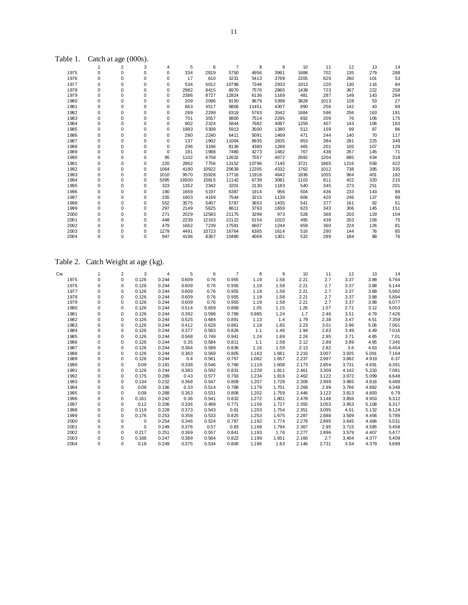| Table 1.     | Catch at age (000s).       |                            |                            |                  |                |                |                |                |                |                |                |               |                |                |
|--------------|----------------------------|----------------------------|----------------------------|------------------|----------------|----------------|----------------|----------------|----------------|----------------|----------------|---------------|----------------|----------------|
|              | 1                          | $\overline{2}$             | 3                          | 4                | 5              | 6              | $\overline{7}$ | 8              | 9              | 10             | 11             | 12            | 13             | 14             |
| 1975         | $\mathbf 0$                | $\mathbf 0$                | $\pmb{0}$                  | $\mathbf 0$      | 334            | 2819           | 5750           | 4956           | 3961           | 1688           | 702            | 135           | 279            | 288            |
| 1976         | $\mathbf 0$                | 0                          | 0                          | 0                | 17             | 610            | 3231           | 5413           | 3769           | 2205           | 829            | 260           | 101            | 53             |
| 1977         | 0                          | 0                          | $\pmb{0}$                  | 0                | 534            | 5012           | 10798          | 7346           | 2933           | 1013           | 220            | 130           | 116            | 84             |
| 1978         | $\mathbf 0$                | 0                          | 0                          | 0                | 2982           | 8415           | 8970           | 7576           | 2865           | 1438           | 723            | 367           | 222            | 258            |
| 1979         | 0                          | 0                          | 0                          | 0                | 2386           | 8727           | 12824          | 6136           | 1169           | 481            | 287            | 149           | 143            | 284            |
| 1980         | 0                          | 0                          | $\pmb{0}$                  | $\pmb{0}$        | 209            | 2086           | 9150           | 9679           | 5398           | 3828           | 1013           | 128           | 53             | 27             |
| 1981         | 0                          | $\mathbf 0$                | $\mathbf 0$                | 0                | 863            | 4517           | 9806           | 11451          | 4307           | 890            | 256            | 142           | 43             | 69             |
| 1982         | 0                          | 0                          | $\pmb{0}$                  | 0                | 269            | 2299           | 6319           | 5763           | 3542           | 1684           | 596            | 256           | 163            | 191            |
| 1983<br>1984 | $\mathbf 0$<br>$\mathbf 0$ | $\mathbf 0$<br>$\mathbf 0$ | $\mathbf 0$<br>$\mathbf 0$ | $\mathbf 0$<br>0 | 701<br>902     | 3557<br>2324   | 9800<br>5844   | 7514<br>7682   | 2295<br>4087   | 692<br>1259    | 209<br>407     | 76<br>143     | 106<br>106     | 175<br>183     |
| 1985         | 0                          | 0                          | 0                          | 0                | 1983           | 5309           | 5913           | 3500           | 1380           | 512            | 159            | 99            | 87             | 86             |
| 1986         | 0                          | 0                          | $\pmb{0}$                  | 0                | 280            | 2240           | 6411           | 5091           | 1469           | 471            | 244            | 140           | 70             | 117            |
| 1987         | 0                          | 0                          | 0                          | 0                | 137            | 1902           | 11004          | 8935           | 2835           | 853            | 384            | 281           | 225            | 349            |
| 1988         | 0                          | 0                          | 0                          | $\mathbf 0$      | 296            | 3186           | 8136           | 4380           | 1288           | 465            | 201            | 105           | 107            | 129            |
| 1989         | 0                          | 0                          | 0                          | $\mathbf 0$      | 181            | 1988           | 7480           | 4273           | 1482           | 767            | 438            | 267           | 145            | 71             |
| 1990         | 0                          | 0                          | $\pmb{0}$                  | 95               | 1102           | 6758           | 12632          | 7557           | 4072           | 2692           | 1204           | 885           | 434            | 318            |
| 1991         | 0                          | 0                          | $\pmb{0}$                  | 220              | 2862           | 7756           | 13152          | 10796          | 7145           | 3721           | 1865           | 1216          | 558            | 422            |
| 1992         | 0                          | 0                          | $\mathbf 0$                | 1064             | 4180           | 10922          | 20639          | 12205          | 4332           | 1762           | 1012           | 738           | 395            | 335            |
| 1993         | 0                          | 0                          | $\pmb{0}$                  | 1010             | 9570           | 15928          | 17716          | 11918          | 4642           | 1836           | 1055           | 964           | 401            | 182            |
| 1994         | 0                          | 0                          | $\pmb{0}$                  | 5395             | 16500          | 15815          | 11142          | 6739           | 3081           | 1103           | 811            | 422           | 320            | 215            |
| 1995         | 0                          | 0                          | $\mathbf 0$                | 323              | 1352           | 2342           | 3201           | 2130           | 1183           | 540            | 345            | 273           | 251            | 201            |
| 1996         | $\mathbf 0$                | $\mathbf 0$                | $\mathbf 0$                | 190              | 1659           | 5197           | 6387           | 1914           | 956            | 504            | 436            | 233           | 143            | 89             |
| 1997         | 0                          | 0                          | 0                          | 335              | 1903           | 4169           | 7544           | 3215           | 1139           | 606            | 420            | 246           | 137            | 89             |
| 1998         | 0                          | $\mathbf 0$                | $\pmb{0}$                  | 552              | 3575           | 5407           | 5787           | 3653           | 1435           | 541            | 377            | 161           | 92             | 51             |
| 1999         | 0                          | 0                          | $\pmb{0}$                  | 297              | 2149           | 5625           | 8611           | 3793           | 1659           | 623            | 343            | 306           | 145            | 151            |
| 2000<br>2001 | 0<br>0                     | 0<br>0                     | 0<br>$\pmb{0}$             | 271<br>448       | 2029<br>2239   | 12583<br>12163 | 21175<br>22122 | 3299<br>5154   | 973<br>1010    | 528<br>495     | 368<br>439     | 203<br>203    | 129<br>156     | 104<br>75      |
| 2002         | $\mathbf 0$                | $\mathbf 0$                | 0                          | 479              | 1662           | 7239           | 17581          | 6607           | 1244           | 659            | 360            | 224           | 126            | 81             |
| 2003         | 0                          | 0                          | $\pmb{0}$                  | 1279             | 4491           | 10723          | 16764          | 6385           | 1614           | 516            | 290            | 144           | 76             | 85             |
| 2004         | 0                          | 0                          | 0                          | 947              | 4196           | 8367           | 10480          | 4069           | 1301           | 532            | 289            | 184           | 88             | 76             |
|              |                            |                            |                            |                  |                |                |                |                |                |                |                |               |                |                |
| Table 2.     | Catch Weight at age (kg).  |                            |                            |                  |                |                |                |                |                |                |                |               |                |                |
| Cw           | $\mathbf{1}$               | $\overline{c}$             | 3                          | $\overline{4}$   | 5              | 6              | 7              | 8              | 9              | 10             | 11             | 12            | 13             | 14             |
| 1975         | $\pmb{0}$                  | $\pmb{0}$                  | 0.126                      | 0.244            | 0.609          | 0.76           | 0.955          | 1.19           | 1.58           | 2.21           | 2.7            | 3.37          | 3.88           | 5.764          |
| 1976         | 0                          | 0                          | 0.126                      | 0.244            | 0.609          | 0.76           | 0.955          | 1.19           | 1.58           | 2.21           | 2.7            | 3.37          | 3.88           | 5.144          |
| 1977         | 0                          | 0                          | 0.126                      | 0.244            | 0.609          | 0.76           | 0.955          | 1.19           | 1.58           | 2.21           | 2.7            | 3.37          | 3.88           | 5.992          |
| 1978         | 0                          | 0                          | 0.126                      | 0.244            | 0.609          | 0.76           | 0.955          | 1.19           | 1.58           | 2.21           | 2.7            | 3.37          | 3.88           | 5.894          |
| 1979         | 0                          | 0                          | 0.126                      | 0.244            | 0.609          | 0.76           | 0.955          | 1.19           | 1.58           | 2.21           | 2.7            | 3.37          | 3.88           | 6.077          |
| 1980         | 0                          | 0                          | 0.126                      | 0.244            | 0.514          | 0.659          | 0.869          | 1.05           | 1.15           | 1.26           | 1.57           | 2.71          | 3.12           | 5.053          |
| 1981         | 0                          | 0                          | 0.126                      | 0.244            | 0.392          | 0.598          | 0.789          | 0.985          | 1.24           | 1.7            | 2.46           | 3.51          | 4.79           | 7.426          |
| 1982         | $\mathbf 0$                | 0                          | 0.126                      | 0.244            | 0.525          | 0.684          | 0.891          | 1.13           | 1.4            | 1.79           | 2.38           | 3.47          | 4.51           | 7.359          |
| 1983         | 0                          | 0                          | 0.126                      | 0.244            | 0.412          | 0.629          | 0.861          | 1.18           | 1.65           | 2.23           | 3.01           | 3.96          | 5.06           | 7.061          |
| 1984         | 0                          | 0                          | 0.126                      | 0.244            | 0.377          | 0.583          | 0.826          | 1.1            | 1.46           | 1.94           | 2.63           | 3.49          | 4.49           | 7.016          |
| 1985<br>1986 | $\mathbf 0$<br>0           | $\mathbf 0$<br>0           | 0.126<br>0.126             | 0.244<br>0.244   | 0.568<br>0.35  | 0.749<br>0.584 | 0.941<br>0.811 | 1.24<br>1.1    | 1.69<br>1.58   | 2.24<br>2.12   | 2.95<br>2.89   | 3.71<br>3.89  | 4.85<br>4.95   | 7.01           |
| 1987         | $\mathbf 0$                | $\mathbf 0$                | 0.126                      | 0.244            | 0.364          | 0.589          | 0.836          | 1.16           | 1.59           | 2.13           | 2.82           | 3.6           | 4.63           | 7.345<br>6.454 |
| 1988         | $\mathbf 0$                | 0                          | 0.126                      | 0.244            | 0.363          | 0.569          | 0.805          | 1.163          | 1.661          | 2.216          | 3.007          | 3.925         | 5.091          | 7.164          |
| 1989         | 0                          | 0                          | 0.126                      | 0.244            | 0.4            | 0.561          | 0.767          | 1.082          | 1.657          | 2.237          | 2.997          | 3.862         | 4.919          | 6.37           |
| 1990         | $\mathbf 0$                | $\mathbf 0$                | 0.09                       | 0.181            | 0.338          | 0.546          | 0.766          | 1.119          | 1.608          | 2.173          | 2.854          | 3.731         | 4.691          | 6.391          |
| 1991         | 0                          | 0                          | 0.126                      | 0.244            | 0.383          | 0.592          | 0.831          | 1.228          | 1.811          | 2.461          | 3.309          | 4.142         | 5.333          | 7.081          |
| 1992         | 0                          | 0                          | 0.175                      | 0.289            | 0.43           | 0.577          | 0.793          | 1.234          | 1.816          | 2.462          | 3.122          | 3.972         | 5.099          | 6.648          |
| 1993         | $\mathbf 0$                | $\mathbf 0$                | 0.134                      | 0.232            | 0.368          | 0.547          | 0.809          | 1.207          | 1.728          | 2.309          | 2.999          | 3.965         | 4.816          | 6.489          |
| 1994         | 0                          | 0                          | 0.08                       | 0.196            | 0.33           | 0.514          | 0.788          | 1.179          | 1.701          | 2.268          | 2.99           | 3.766         | 4.882          | 6.348          |
| 1995         | 0                          | 0                          | 0.08                       | 0.288            | 0.363          | 0.531          | 0.808          | 1.202          | 1.759          | 2.446          | 3.122          | 3.813         | 4.893          | 6.79           |
| 1996         | $\mathbf 0$                | $\mathbf 0$                | 0.161                      | 0.242            | 0.36           | 0.541          | 0.832          | 1.272          | 1.801          | 2.478          | 3.148          | 3.856         | 4.953          | 6.312          |
| 1997<br>1998 | 0<br>$\mathbf 0$           | 0<br>0                     | 0.12<br>0.119              | 0.206<br>0.228   | 0.336<br>0.373 | 0.489<br>0.543 | 0.771<br>0.81  | 1.159<br>1.203 | 1.727<br>1.754 | 2.355<br>2.351 | 3.053<br>3.095 | 3.953<br>4.01 | 5.108<br>5.132 | 6.317          |
| 1999         | 0                          | 0                          | 0.176                      | 0.253            | 0.358          | 0.533          | 0.825          | 1.253          | 1.675          | 2.287          | 2.888          | 3.509         | 4.456          | 6.124<br>5.789 |
| 2000         | 0                          | 0                          | 0                          | 0.254            | 0.346          | 0.524          | 0.787          | 1.192          | 1.774          | 2.279          | 2.895          | 3.645         | 4.486          | 5.531          |
| 2001         | 0                          | 0                          | $\mathbf 0$                | 0.249            | 0.376          | 0.57           | 0.83           | 1.168          | 1.794          | 2.367          | 2.95           | 3.715         | 4.585          | 5.458          |
| 2002         | 0                          | 0                          | 0.217                      | 0.251            | 0.369          | 0.557          | 0.841          | 1.193          | 1.76           | 2.277          | 2.896          | 3.579         | 4.407          | 5.477          |
| 2003<br>2004 | 0<br>0                     | 0<br>0                     | 0.188<br>0.18              | 0.247<br>0.249   | 0.389<br>0.375 | 0.564<br>0.534 | 0.822<br>0.806 | 1.199<br>1.196 | 1.651<br>1.63  | 2.166<br>2.146 | 2.7<br>2.731   | 3.404<br>3.54 | 4.377<br>4.379 | 5.409<br>5.699 |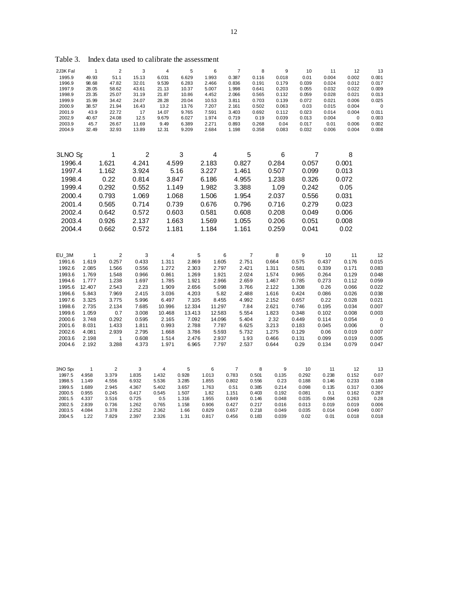| 2J3K Fal         | 1              | $\overline{2}$ | 3                | 4                       | 5              | 6                | $\boldsymbol{7}$ | 8                         | 9              | 10             | 11             | 12                   | 13             |
|------------------|----------------|----------------|------------------|-------------------------|----------------|------------------|------------------|---------------------------|----------------|----------------|----------------|----------------------|----------------|
| 1995.9           | 49.93          | 51.1           | 15.13            | 6.031                   | 6.629          | 1.993            | 0.387            | 0.116                     | 0.018          | 0.01           | 0.004          | 0.002                | 0.001          |
| 1996.9<br>1997.9 | 98.68<br>28.05 | 47.82<br>58.62 | 32.01<br>43.61   | 9.539<br>21.13          | 6.283<br>10.37 | 2.466<br>5.007   | 0.836<br>1.998   | 0.191<br>0.641            | 0.179<br>0.203 | 0.039<br>0.055 | 0.024<br>0.032 | 0.012<br>0.022       | 0.017<br>0.009 |
| 1998.9           | 23.35          | 25.07          | 31.19            | 21.87                   | 10.86          | 4.452            | 2.066            | 0.565                     | 0.132          | 0.059          | 0.028          | 0.021                | 0.013          |
| 1999.9           | 15.99          | 34.42          | 24.07            | 28.28                   | 20.04          | 10.53            | 3.811            | 0.703                     | 0.139          | 0.072          | 0.021          | 0.006                | 0.025          |
| 2000.9           | 38.57          | 21.94          | 16.43            | 13.2                    | 13.76          | 7.207            | 2.161            | 0.502                     | 0.063          | 0.03           | 0.015          | 0.004                | $\pmb{0}$      |
| 2001.9           | 43.9           | 22.72          | 17               | 14.07                   | 9.765          | 7.591            | 3.403            | 0.692                     | 0.112          | 0.023          | 0.014          | 0.004                | 0.011          |
| 2002.9<br>2003.9 | 40.67<br>45.7  | 24.08<br>26.67 | 12.5<br>11.69    | 9.679<br>9.49           | 6.027<br>6.389 | 1.974<br>2.271   | 0.719<br>0.893   | 0.19<br>0.268             | 0.039<br>0.04  | 0.013<br>0.017 | 0.004<br>0.01  | $\mathbf 0$<br>0.006 | 0.003<br>0.002 |
| 2004.9           | 32.49          | 32.93          | 13.89            | 12.31                   | 9.209          | 2.684            | 1.198            | 0.358                     | 0.083          | 0.032          | 0.006          | 0.004                | 0.008          |
|                  |                |                |                  |                         |                |                  |                  |                           |                |                |                |                      |                |
| 3LNO Sp          |                | 1              | $\boldsymbol{2}$ |                         | 3              | 4                |                  | 5                         | 6              |                | 7              | 8                    |                |
| 1996.4           |                | 1.621          | 4.241            | 4.599                   |                | 2.183            | 0.827            |                           | 0.284          | 0.057          |                | 0.001                |                |
| 1997.4           |                | 1.162          | 3.924            |                         | 5.16           | 3.227            | 1.461            |                           | 0.507          | 0.099          |                | 0.013                |                |
| 1998.4           |                | 0.22           | 0.814            | 3.847                   |                | 6.186            | 4.955            |                           | 1.238          | 0.326          |                | 0.072                |                |
| 1999.4           |                | 0.292          | 0.552            | 1.149                   |                | 1.982            | 3.388            |                           | 1.09           | 0.242          |                | 0.05                 |                |
| 2000.4           |                | 0.793          | 1.069            | 1.068                   |                | 1.506            | 1.954            |                           | 2.037          | 0.556          |                | 0.031                |                |
| 2001.4           |                | 0.565          | 0.714            | 0.739                   |                | 0.676            | 0.796            |                           | 0.716          | 0.279          |                | 0.023                |                |
| 2002.4           |                | 0.642          | 0.572            | 0.603                   |                | 0.581            | 0.608            |                           | 0.208          | 0.049          |                | 0.006                |                |
| 2003.4           |                | 0.926          | 2.137            | 1.663                   |                | 1.569            | 1.055            |                           | 0.206          | 0.051          |                | 0.008                |                |
| 2004.4           |                | 0.662          | 0.572            | 1.181                   |                | 1.184            | 1.161            |                           | 0.259          | 0.041          |                | 0.02                 |                |
|                  |                |                |                  |                         |                |                  |                  |                           |                |                |                |                      |                |
| EU_3M            | 1              | 2              | 3                | 4                       |                | 5                | 6                | $\overline{\mathfrak{c}}$ | 8              | 9              | 10             | 11                   | 12             |
| 1991.6<br>1992.6 | 1.619<br>2.085 | 0.257<br>1.566 | 0.433<br>0.556   | 1.311<br>1.272          | 2.869<br>2.303 | 1.605<br>2.797   | 2.751<br>2.421   |                           | 0.664<br>1.311 | 0.575<br>0.581 | 0.437<br>0.339 | 0.176<br>0.171       | 0.015<br>0.083 |
| 1993.6           | 1.769          | 1.548          | 0.966            | 0.861                   | 1.269          | 1.921            | 2.024            |                           | 1.574          | 0.965          | 0.264          | 0.129                | 0.048          |
| 1994.6           | 1.777          | 1.238          | 1.697            | 1.785                   | 1.921          | 2.966            | 2.659            |                           | 1.467          | 0.785          | 0.273          | 0.112                | 0.059          |
| 1995.6           | 12.407         | 2.543          | 2.23             | 1.909                   | 2.656          | 5.098            | 3.766            |                           | 2.122          | 1.308          | 0.26           | 0.066                | 0.022          |
| 1996.6           | 5.843          | 7.969          | 2.415            | 3.036                   | 4.203          | 5.82             | 2.488            |                           | 1.616          | 0.424          | 0.086          | 0.026                | 0.038          |
| 1997.6           | 3.325          | 3.775          | 5.996            | 6.497                   | 7.105          | 8.455            | 4.992            |                           | 2.152          | 0.657          | 0.22           | 0.028                | 0.021          |
| 1998.6           | 2.735          | 2.134          | 7.685            | 10.996                  | 12.334         | 11.297           |                  | 7.84                      | 2.621          | 0.746          | 0.195          | 0.034                | 0.007          |
| 1999.6<br>2000.6 | 1.059          | 0.7<br>0.292   | 3.008            | 10.468                  | 13.413         | 12.583<br>14.096 | 5.554<br>5.404   |                           | 1.823<br>2.32  | 0.348<br>0.449 | 0.102          | 0.008                | 0.003          |
| 2001.6           | 3.748<br>8.031 | 1.433          | 0.595<br>1.811   | 2.165<br>0.993          | 7.092<br>2.788 | 7.787            | 6.625            |                           | 3.213          | 0.183          | 0.114<br>0.045 | 0.054<br>0.006       | $\pmb{0}$<br>0 |
| 2002.6           | 4.081          | 2.939          | 2.795            | 1.668                   | 3.786          | 5.593            | 5.732            |                           | 1.275          | 0.129          | 0.06           | 0.019                | 0.007          |
| 2003.6           | 2.198          | 1              | 0.608            | 1.514                   | 2.476          | 2.937            |                  | 1.93                      | 0.466          | 0.131          | 0.099          | 0.019                | 0.005          |
| 2004.6           | 2.192          | 3.288          | 4.373            | 1.971                   | 6.965          | 7.797            | 2.537            |                           | 0.644          | 0.29           | 0.134          | 0.079                | 0.047          |
|                  |                |                |                  |                         |                |                  |                  |                           |                |                |                |                      |                |
| 3NO Spa          | $\mathbf{1}$   | $\mathbf 2$    | 3                | $\overline{\mathbf{4}}$ | 5              | 6                | $\overline{7}$   | 8                         | 9              | 10             | 11             | 12                   | 13             |
| 1997.5           | 4.958          | 3.379          | 1.835            | 1.432                   | 0.928          | 1.013            | 0.783            | 0.501                     | 0.135          | 0.292          | 0.238          | 0.152                | 0.07           |
| 1998.5<br>1999.5 | 1.149<br>1.689 | 4.556<br>2.945 | 6.932<br>4.367   | 5.536<br>5.402          | 3.285<br>3.657 | 1.855<br>1.763   | 0.802<br>0.51    | 0.556<br>0.385            | 0.23<br>0.214  | 0.188<br>0.098 | 0.146<br>0.135 | 0.233<br>0.317       | 0.188<br>0.306 |
| 2000.5           | 0.955          | 0.245          | 0.417            | 0.545                   | 1.507          | 1.82             | 1.151            | 0.403                     | 0.192          | 0.081          | 0.1            | 0.162                | 0.287          |
| 2001.5           | 4.337          | 3.516          | 0.725            | 0.5                     | 1.316          | 1.955            | 0.849            | 0.146                     | 0.048          | 0.035          | 0.094          | 0.263                | 0.28           |
| 2002.5           | 2.839          | 0.736          | 1.262            | 0.765                   | 1.158          | 0.906            | 0.427            | 0.217                     | 0.016          | 0.013          | 0.019          | 0.019                | 0.006          |
| 2003.5<br>2004.5 | 4.084<br>1.22  | 3.378<br>7.829 | 2.252<br>2.397   | 2.362<br>2.326          | 1.66           | 0.829            | 0.657            | 0.218                     | 0.049          | 0.035<br>0.02  | 0.014          | 0.049                | 0.007<br>0.018 |
|                  |                |                |                  |                         | 1.31           | 0.817            | 0.456            | 0.183                     | 0.039          |                | 0.01           | 0.018                |                |

Table 3. Index data used to calibrate the assessment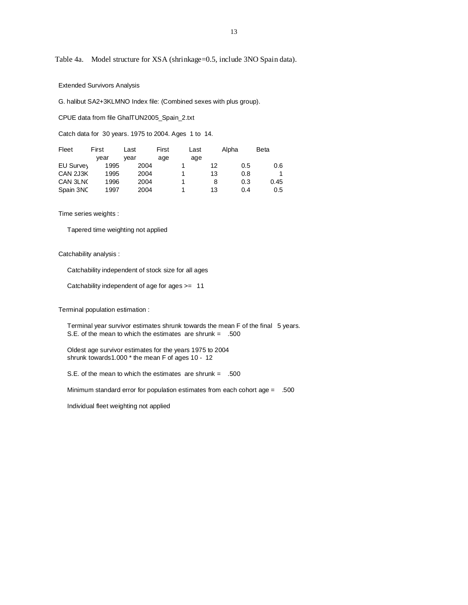Table 4a. Model structure for XSA (shrinkage=0.5, include 3NO Spain data).

## Extended Survivors Analysis

G. halibut SA2+3KLMNO Index file: (Combined sexes with plus group).

CPUE data from file GhalTUN2005\_Spain\_2.txt

Catch data for 30 years. 1975 to 2004. Ages 1 to 14.

| Fleet     | First | Last | First | Last | Alpha | <b>Beta</b> |
|-----------|-------|------|-------|------|-------|-------------|
|           | vear  | vear | age   | age  |       |             |
| EU Survey | 1995  | 2004 |       | 12   | 0.5   | 0.6         |
| CAN 2J3K  | 1995  | 2004 |       | 13   | 0.8   | 1           |
| CAN 3LNC  | 1996  | 2004 |       | 8    | 0.3   | 0.45        |
| Spain 3NC | 1997  | 2004 |       | 13   | 0.4   | 0.5         |

Time series weights :

Tapered time weighting not applied

## Catchability analysis :

Catchability independent of stock size for all ages

Catchability independent of age for ages >= 11

Terminal population estimation :

 Terminal year survivor estimates shrunk towards the mean F of the final 5 years. S.E. of the mean to which the estimates are shrunk = .500

 Oldest age survivor estimates for the years 1975 to 2004 shrunk towards1.000 \* the mean F of ages 10 - 12

S.E. of the mean to which the estimates are shrunk = .500

Minimum standard error for population estimates from each cohort age = .500

Individual fleet weighting not applied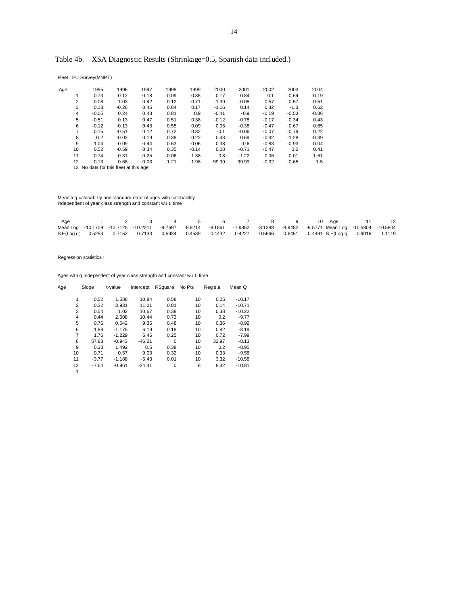# Table 4b. XSA Diagnostic Results (Shrinkage=0.5, Spanish data included.)

Fleet : EU Survey(MNPT)

| Age            | 1995    | 1996    | 1997    | 1998    | 1999    | 2000    | 2001    | 2002    | 2003    | 2004    |
|----------------|---------|---------|---------|---------|---------|---------|---------|---------|---------|---------|
|                | 0.73    | 0.12    | $-0.18$ | $-0.09$ | $-0.85$ | 0.17    | 0.84    | 0.1     | $-0.64$ | $-0.19$ |
| $\overline{2}$ | 0.08    | 1.03    | 0.42    | 0.12    | $-0.71$ | $-1.39$ | $-0.05$ | 0.57    | $-0.57$ | 0.51    |
| 3              | 0.18    | $-0.26$ | 0.45    | 0.84    | 0.17    | $-1.16$ | 0.14    | 0.32    | $-1.3$  | 0.62    |
| 4              | $-0.05$ | 0.24    | 0.48    | 0.81    | 0.9     | $-0.41$ | $-0.9$  | $-0.19$ | $-0.53$ | $-0.36$ |
| 5              | $-0.51$ | 0.13    | 0.47    | 0.51    | 0.38    | $-0.12$ | $-0.78$ | $-0.17$ | $-0.34$ | 0.43    |
| 6              | $-0.12$ | $-0.13$ | 0.43    | 0.55    | 0.09    | 0.05    | $-0.38$ | $-0.47$ | $-0.67$ | 0.65    |
| 7              | 0.15    | $-0.51$ | 0.12    | 0.72    | 0.32    | $-0.1$  | $-0.06$ | $-0.07$ | $-0.79$ | 0.22    |
| 8              | 0.2     | $-0.02$ | 0.19    | 0.38    | 0.22    | 0.43    | 0.69    | $-0.42$ | $-1.28$ | $-0.39$ |
| 9              | 1.04    | $-0.09$ | 0.44    | 0.63    | $-0.06$ | 0.38    | $-0.6$  | $-0.83$ | $-0.93$ | 0.04    |
| 10             | 0.52    | $-0.59$ | 0.34    | 0.35    | $-0.14$ | 0.08    | $-0.71$ | $-0.47$ | 0.2     | 0.41    |
| 11             | 0.74    | $-0.31$ | $-0.25$ | $-0.06$ | $-1.38$ | 0.8     | $-1.22$ | 0.06    | $-0.01$ | 1.61    |
| 12             | 0.13    | 0.68    | $-0.03$ | $-1.21$ | $-1.98$ | 99.99   | 99.99   | $-0.32$ | $-0.65$ | 1.5     |

13 No data for this fleet at this age

Mean log catchability and standard error of ages with catchability independent of year class strength and constant w.r.t. time

| Aae |  | 1 2 3 4 5 6 7 8 9 10 Age 11                                                                                            |  |  |  |  | 12 |
|-----|--|------------------------------------------------------------------------------------------------------------------------|--|--|--|--|----|
|     |  | Mean Log -10.1709 -10.7125 -10.2211 -9.7697 -8.9214 -8.1861 -7.9852 -8.1288 -8.9482 -9.5771 Mean Log -10.5804 -10.5804 |  |  |  |  |    |
|     |  | S.E(Log a) 0.5253 0.7152 0.7133 0.5934 0.4539 0.4432 0.4227 0.5666 0.6451 0.4491 S.E(Log a) 0.9016 1.1119              |  |  |  |  |    |

Regression statistics :

| Age |                | Slope   | t-value  | Intercept | RSquare  | No Pts | Reg s.e | Mean Q   |
|-----|----------------|---------|----------|-----------|----------|--------|---------|----------|
|     |                |         |          |           |          |        |         |          |
|     |                | 0.52    | 1.588    | 10.84     | 0.58     | 10     | 0.25    | $-10.17$ |
|     | $\overline{2}$ | 0.32    | 3.931    | 11.21     | 0.81     | 10     | 0.14    | $-10.71$ |
|     | 3              | 0.54    | 1.02     | 10.67     | 0.38     | 10     | 0.38    | $-10.22$ |
|     | 4              | 0.44    | 2.608    | 10.44     | 0.73     | 10     | 0.2     | $-9.77$  |
|     | 5              | 0.76    | 0.642    | 9.35      | 0.48     | 10     | 0.36    | $-8.92$  |
|     | 6              | 1.88    | $-1.175$ | 6.19      | 0.18     | 10     | 0.82    | $-8.19$  |
|     | 7              | 1.76    | $-1.229$ | 6.46      | 0.25     | 10     | 0.72    | $-7.99$  |
|     | 8              | 57.83   | $-0.943$ | $-46.21$  | $\Omega$ | 10     | 32.97   | $-8.13$  |
|     | 9              | 0.33    | 1.492    | 8.5       | 0.38     | 10     | 0.2     | $-8.95$  |
|     | 10             | 0.71    | 0.57     | 9.03      | 0.32     | 10     | 0.33    | $-9.58$  |
|     | 11             | $-3.77$ | $-1.188$ | $-5.43$   | 0.01     | 10     | 3.32    | $-10.58$ |
|     | 12             | $-7.64$ | $-0.961$ | $-24.41$  | 0        | 8      | 8.32    | $-10.81$ |
|     | 1              |         |          |           |          |        |         |          |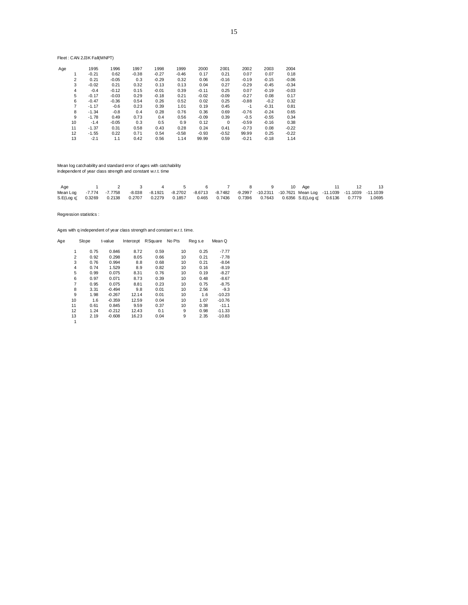Fleet : CAN 2J3K Fall(MNPT)

| Age |    | 1995    | 1996    | 1997    | 1998    | 1999    | 2000    | 2001     | 2002    | 2003    | 2004    |
|-----|----|---------|---------|---------|---------|---------|---------|----------|---------|---------|---------|
|     |    | $-0.21$ | 0.62    | $-0.38$ | $-0.27$ | $-0.46$ | 0.17    | 0.21     | 0.07    | 0.07    | 0.18    |
|     | 2  | 0.21    | $-0.05$ | 0.3     | $-0.29$ | 0.32    | 0.06    | $-0.16$  | $-0.19$ | $-0.15$ | $-0.06$ |
|     | 3  | $-0.02$ | 0.21    | 0.32    | 0.13    | 0.13    | 0.04    | 0.27     | $-0.29$ | $-0.45$ | $-0.34$ |
|     | 4  | $-0.4$  | $-0.12$ | 0.15    | $-0.01$ | 0.39    | $-0.11$ | 0.25     | 0.07    | $-0.19$ | $-0.03$ |
|     | 5  | $-0.17$ | $-0.03$ | 0.29    | $-0.18$ | 0.21    | $-0.02$ | $-0.09$  | $-0.27$ | 0.08    | 0.17    |
|     | 6  | $-0.47$ | $-0.36$ | 0.54    | 0.26    | 0.52    | 0.02    | 0.25     | $-0.88$ | $-0.2$  | 0.32    |
|     | 7  | $-1.17$ | $-0.6$  | 0.23    | 0.39    | 1.01    | 0.19    | 0.45     | -1      | $-0.31$ | 0.81    |
|     | 8  | $-1.34$ | $-0.8$  | 0.4     | 0.28    | 0.76    | 0.36    | 0.69     | $-0.76$ | $-0.24$ | 0.65    |
|     | 9  | $-1.78$ | 0.49    | 0.73    | 0.4     | 0.56    | $-0.09$ | 0.39     | $-0.5$  | $-0.55$ | 0.34    |
|     | 10 | $-1.4$  | $-0.05$ | 0.3     | 0.5     | 0.9     | 0.12    | $\Omega$ | $-0.59$ | $-0.16$ | 0.38    |
|     | 11 | $-1.37$ | 0.31    | 0.58    | 0.43    | 0.28    | 0.24    | 0.41     | $-0.73$ | 0.08    | $-0.22$ |
|     | 12 | $-1.55$ | 0.22    | 0.71    | 0.54    | $-0.58$ | $-0.93$ | $-0.52$  | 99.99   | 0.25    | $-0.22$ |
|     | 13 | $-2.1$  | 1.1     | 0.42    | 0.56    | 1.14    | 99.99   | 0.59     | $-0.21$ | $-0.18$ | 1.14    |
|     |    |         |         |         |         |         |         |          |         |         |         |

Mean log catchability and standard error of ages with catchability independent of year class strength and constant w.r.t. time

| Age                                                                                                                          |  |  |  |  |  | 1 2 3 4 5 6 7 8 9 10 Age 11 12 13 |  |  |
|------------------------------------------------------------------------------------------------------------------------------|--|--|--|--|--|-----------------------------------|--|--|
| Mean Log -7.774 -7.7758 -8.038 -8.1921 -8.2702 -8.6713 -8.7482 -9.2997 -10.2311 -10.7621 Mean Log -11.1039 -11.1039 -11.1039 |  |  |  |  |  |                                   |  |  |
| S.E(Log q 0.3269 0.2138 0.2707 0.2279 0.1857 0.465 0.7436 0.7396 0.7643 0.6356 S.E(Log q) 0.6136 0.7779 1.0695               |  |  |  |  |  |                                   |  |  |

Regression statistics :

|     |                |       |          | Ages with g independent of year class strength and constant w.r.t. time. |                 |        |         |          |
|-----|----------------|-------|----------|--------------------------------------------------------------------------|-----------------|--------|---------|----------|
| Age |                | Slope | t-value  | Intercept                                                                | <b>R</b> Square | No Pts | Reg s.e | Mean Q   |
|     | 1              | 0.75  | 0.846    | 8.72                                                                     | 0.59            | 10     | 0.25    | $-7.77$  |
|     | 2              | 0.92  | 0.298    | 8.05                                                                     | 0.66            | 10     | 0.21    | $-7.78$  |
|     | 3              | 0.76  | 0.994    | 8.8                                                                      | 0.68            | 10     | 0.21    | $-8.04$  |
|     | 4              | 0.74  | 1.529    | 8.9                                                                      | 0.82            | 10     | 0.16    | $-8.19$  |
|     | 5              | 0.99  | 0.075    | 8.31                                                                     | 0.76            | 10     | 0.19    | $-8.27$  |
|     | 6              | 0.97  | 0.071    | 8.73                                                                     | 0.39            | 10     | 0.48    | $-8.67$  |
|     | $\overline{7}$ | 0.95  | 0.075    | 8.81                                                                     | 0.23            | 10     | 0.75    | $-8.75$  |
|     | 8              | 3.31  | $-0.494$ | 9.8                                                                      | 0.01            | 10     | 2.56    | $-9.3$   |
|     | 9              | 1.98  | $-0.267$ | 12.14                                                                    | 0.01            | 10     | 1.6     | $-10.23$ |
|     | 10             | 1.6   | $-0.359$ | 12.59                                                                    | 0.04            | 10     | 1.07    | $-10.76$ |
|     | 11             | 0.61  | 0.845    | 9.59                                                                     | 0.37            | 10     | 0.38    | $-11.1$  |
|     | 12             | 1.24  | $-0.212$ | 12.43                                                                    | 0.1             | 9      | 0.98    | $-11.33$ |
|     | 13             | 2.19  | $-0.608$ | 16.23                                                                    | 0.04            | 9      | 2.35    | $-10.83$ |
|     | 1              |       |          |                                                                          |                 |        |         |          |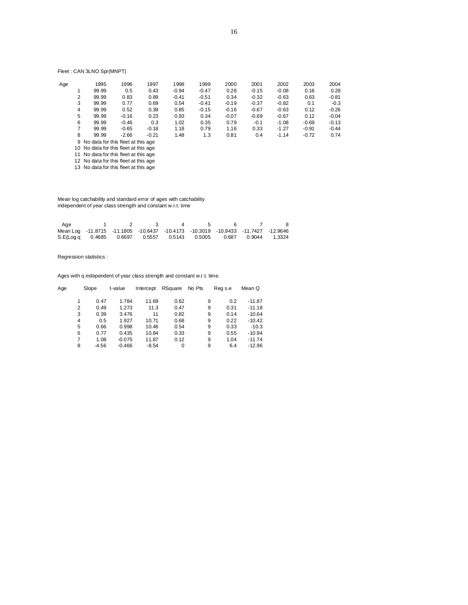# Fleet : CAN 3LNO Spr(MNPT)

| Age |   | 1995                                   | 1996    | 1997    | 1998    | 1999    | 2000    | 2001    | 2002    | 2003    | 2004    |
|-----|---|----------------------------------------|---------|---------|---------|---------|---------|---------|---------|---------|---------|
|     |   | 99.99                                  | 0.5     | 0.43    | $-0.94$ | $-0.47$ | 0.28    | $-0.15$ | $-0.08$ | 0.16    | 0.28    |
|     | 2 | 99.99                                  | 0.83    | 0.89    | $-0.41$ | $-0.51$ | 0.34    | $-0.32$ | $-0.63$ | 0.63    | $-0.81$ |
|     | 3 | 99.99                                  | 0.77    | 0.69    | 0.54    | $-0.41$ | $-0.19$ | $-0.37$ | $-0.82$ | 0.1     | $-0.3$  |
|     | 4 | 99.99                                  | 0.52    | 0.39    | 0.85    | $-0.15$ | $-0.16$ | $-0.67$ | $-0.63$ | 0.12    | $-0.26$ |
|     | 5 | 99.99                                  | $-0.16$ | 0.23    | 0.93    | 0.34    | $-0.07$ | $-0.69$ | $-0.67$ | 0.12    | $-0.04$ |
|     | 6 | 99.99                                  | $-0.46$ | 0.3     | 1.02    | 0.35    | 0.79    | $-0.1$  | $-1.08$ | $-0.69$ | $-0.13$ |
|     | 7 | 99.99                                  | $-0.65$ | $-0.18$ | 1.18    | 0.79    | 1.16    | 0.33    | $-1.27$ | $-0.91$ | $-0.44$ |
|     | 8 | 99.99                                  | $-2.66$ | $-0.21$ | 1.48    | 1.3     | 0.81    | 0.4     | $-1.14$ | $-0.72$ | 0.74    |
|     |   | 9 No data for this fleet at this age   |         |         |         |         |         |         |         |         |         |
|     |   | 10. No data for this float at this ago |         |         |         |         |         |         |         |         |         |

10 No data for this fleet at this age

11 No data for this fleet at this age

12 No data for this fleet at this age

13 No data for this fleet at this age

 Mean log catchability and standard error of ages with catchability independent of year class strength and constant w.r.t. time

| Aae                                                                              |  |  |  |  |
|----------------------------------------------------------------------------------|--|--|--|--|
| Mean Log -11.8715 -11.1805 -10.6437 -10.4173 -10.3019 -10.9433 -11.7427 -12.9646 |  |  |  |  |
| S.E(Log q 0.4685 0.6697 0.5557 0.5143 0.5005 0.687 0.9044 1.3324                 |  |  |  |  |

Regression statistics :

| Slope   | t-value  | Intercept | RSquare     | No Pts | Reg s.e | Mean Q   |
|---------|----------|-----------|-------------|--------|---------|----------|
| 0.47    |          |           |             |        |         | $-11.87$ |
| 0.49    | 1.273    | 11.3      | 0.47        | 9      | 0.31    | $-11.18$ |
| 0.39    | 3.476    | 11        | 0.82        | 9      | 0.14    | $-10.64$ |
| 0.5     | 1.927    | 10.71     | 0.68        | 9      | 0.22    | $-10.42$ |
| 0.66    | 0.998    | 10.46     | 0.54        | 9      | 0.33    | $-10.3$  |
| 0.77    | 0.435    | 10.84     | 0.33        | 9      | 0.55    | $-10.94$ |
| 1.08    | $-0.075$ | 11.87     | 0.12        | 9      | 1.04    | $-11.74$ |
| $-4.56$ | $-0.466$ | $-8.54$   | $\mathbf 0$ | 9      | 6.4     | $-12.96$ |
|         |          | 1.784     | 11.69       | 0.62   | 9       | 0.2      |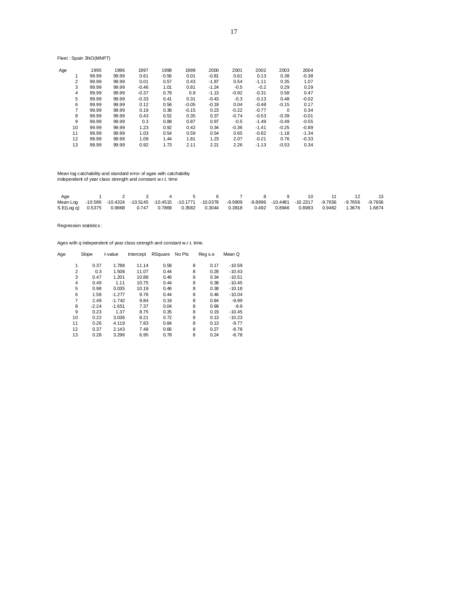Fleet : Spain 3NO(MNPT)

| Age |                | 1995  | 1996  | 1997    | 1998    | 1999    | 2000    | 2001    | 2002    | 2003     | 2004    |
|-----|----------------|-------|-------|---------|---------|---------|---------|---------|---------|----------|---------|
|     |                | 99.99 | 99.99 | 0.61    | $-0.56$ | 0.01    | $-0.81$ | 0.61    | 0.13    | 0.38     | $-0.38$ |
|     | $\overline{2}$ | 99.99 | 99.99 | 0.01    | 0.57    | 0.43    | $-1.87$ | 0.54    | $-1.11$ | 0.35     | 1.07    |
|     | 3              | 99.99 | 99.99 | $-0.46$ | 1.01    | 0.81    | $-1.24$ | $-0.5$  | $-0.2$  | 0.29     | 0.29    |
|     | 4              | 99.99 | 99.99 | $-0.37$ | 0.79    | 0.9     | $-1.13$ | $-0.92$ | $-0.31$ | 0.58     | 0.47    |
|     | 5              | 99.99 | 99.99 | $-0.33$ | 0.41    | 0.31    | $-0.43$ | $-0.3$  | $-0.13$ | 0.48     | $-0.02$ |
|     | 6              | 99.99 | 99.99 | 0.12    | 0.56    | $-0.05$ | $-0.19$ | 0.04    | $-0.48$ | $-0.15$  | 0.17    |
|     | 7              | 99.99 | 99.99 | 0.19    | 0.38    | $-0.15$ | 0.23    | $-0.22$ | $-0.77$ | $\Omega$ | 0.34    |
|     | 8              | 99.99 | 99.99 | 0.43    | 0.52    | 0.35    | 0.37    | $-0.74$ | $-0.53$ | $-0.39$  | $-0.01$ |
|     | 9              | 99.99 | 99.99 | 0.3     | 0.88    | 0.87    | 0.97    | $-0.5$  | $-1.49$ | $-0.49$  | $-0.55$ |
|     | 10             | 99.99 | 99.99 | 1.23    | 0.92    | 0.42    | 0.34    | $-0.36$ | $-1.41$ | $-0.25$  | $-0.89$ |
|     | 11             | 99.99 | 99.99 | 1.03    | 0.54    | 0.59    | 0.54    | 0.65    | $-0.82$ | $-1.18$  | $-1.34$ |
|     | 12             | 99.99 | 99.99 | 1.09    | 1.44    | 1.81    | 1.23    | 2.07    | $-0.21$ | 0.76     | $-0.33$ |
|     | 13             | 99.99 | 99.99 | 0.92    | 1.73    | 2.11    | 2.21    | 2.26    | $-1.13$ | $-0.53$  | 0.34    |
|     |                |       |       |         |         |         |         |         |         |          |         |

Mean log catchability and standard error of ages with catchability independent of year class strength and constant w.r.t. time

| Age                                                                                                                     |  |  |  |  | 1 2 3 4 5 6 7 8 9 10 11 12 13 |  |  |
|-------------------------------------------------------------------------------------------------------------------------|--|--|--|--|-------------------------------|--|--|
| Mean Log -10.586 -10.4324 -10.5145 -10.4515 -10.1771 -10.0378 -9.9909 -9.8996 -10.4481 -10.2317 -9.7656 -9.7656 -9.7656 |  |  |  |  |                               |  |  |
| S.E(Log q) 0.5375 0.9868 0.747 0.7869 0.3582 0.3044 0.3818 0.492 0.8946 0.8983 0.9462 1.3676 1.6874                     |  |  |  |  |                               |  |  |

Regression statistics :

| Age            | Slope   | t-value  | Intercept | RSquare | No Pts |   | Reg s.e | Mean Q   |
|----------------|---------|----------|-----------|---------|--------|---|---------|----------|
|                |         |          |           |         |        |   |         |          |
|                | 0.37    | 1.788    | 11.14     | 0.58    |        | 8 | 0.17    | $-10.59$ |
| $\overline{2}$ | 0.3     | 1.508    | 11.07     | 0.44    |        | 8 | 0.28    | $-10.43$ |
| 3              | 0.47    | 1.201    | 10.88     | 0.46    |        | 8 | 0.34    | $-10.51$ |
| $\overline{4}$ | 0.49    | 1.11     | 10.75     | 0.44    |        | 8 | 0.38    | $-10.45$ |
| 5              | 0.98    | 0.035    | 10.19     | 0.46    |        | 8 | 0.38    | $-10.18$ |
| 6              | 1.58    | $-1.277$ | 9.76      | 0.44    |        | 8 | 0.46    | $-10.04$ |
| 7              | 2.49    | $-1.742$ | 9.84      | 0.19    |        | 8 | 0.84    | $-9.99$  |
| 8              | $-2.24$ | $-1.651$ | 7.37      | 0.04    |        | 8 | 0.99    | $-9.9$   |
| 9              | 0.23    | 1.37     | 8.75      | 0.35    |        | 8 | 0.19    | $-10.45$ |
| 10             | 0.22    | 3.036    | 8.21      | 0.72    |        | 8 | 0.13    | $-10.23$ |
| 11             | 0.26    | 4.119    | 7.83      | 0.84    |        | 8 | 0.13    | $-9.77$  |
| 12             | 0.37    | 2.143    | 7.48      | 0.66    |        | 8 | 0.27    | $-8.78$  |
| 13             | 0.28    | 3.296    | 6.95      | 0.78    |        | 8 | 0.24    | $-8.78$  |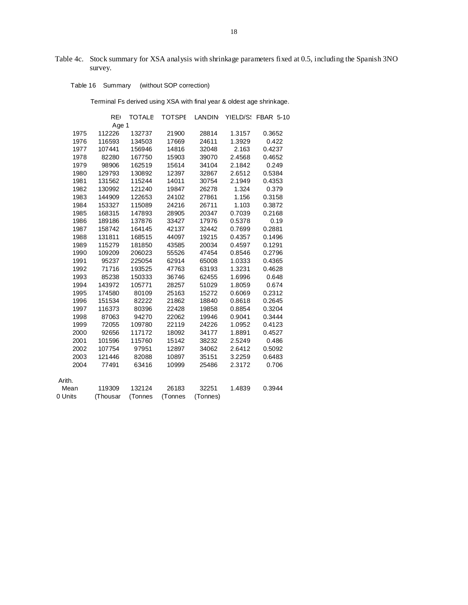Table 4c. Stock summary for XSA analysis with shrinkage parameters fixed at 0.5, including the Spanish 3NO survey.

Table 16 Summary (without SOP correction)

Terminal Fs derived using XSA with final year & oldest age shrinkage.

|         | <b>RE</b> | <b>TOTALE</b> | <b>TOTSPE</b> | LANDIN   | YIELD/S: | <b>FBAR 5-10</b> |
|---------|-----------|---------------|---------------|----------|----------|------------------|
|         | Age 1     |               |               |          |          |                  |
| 1975    | 112226    | 132737        | 21900         | 28814    | 1.3157   | 0.3652           |
| 1976    | 116593    | 134503        | 17669         | 24611    | 1.3929   | 0.422            |
| 1977    | 107441    | 156946        | 14816         | 32048    | 2.163    | 0.4237           |
| 1978    | 82280     | 167750        | 15903         | 39070    | 2.4568   | 0.4652           |
| 1979    | 98906     | 162519        | 15614         | 34104    | 2.1842   | 0.249            |
| 1980    | 129793    | 130892        | 12397         | 32867    | 2.6512   | 0.5384           |
| 1981    | 131562    | 115244        | 14011         | 30754    | 2.1949   | 0.4353           |
| 1982    | 130992    | 121240        | 19847         | 26278    | 1.324    | 0.379            |
| 1983    | 144909    | 122653        | 24102         | 27861    | 1.156    | 0.3158           |
| 1984    | 153327    | 115089        | 24216         | 26711    | 1.103    | 0.3872           |
| 1985    | 168315    | 147893        | 28905         | 20347    | 0.7039   | 0.2168           |
| 1986    | 189186    | 137876        | 33427         | 17976    | 0.5378   | 0.19             |
| 1987    | 158742    | 164145        | 42137         | 32442    | 0.7699   | 0.2881           |
| 1988    | 131811    | 168515        | 44097         | 19215    | 0.4357   | 0.1496           |
| 1989    | 115279    | 181850        | 43585         | 20034    | 0.4597   | 0.1291           |
| 1990    | 109209    | 206023        | 55526         | 47454    | 0.8546   | 0.2796           |
| 1991    | 95237     | 225054        | 62914         | 65008    | 1.0333   | 0.4365           |
| 1992    | 71716     | 193525        | 47763         | 63193    | 1.3231   | 0.4628           |
| 1993    | 85238     | 150333        | 36746         | 62455    | 1.6996   | 0.648            |
| 1994    | 143972    | 105771        | 28257         | 51029    | 1.8059   | 0.674            |
| 1995    | 174580    | 80109         | 25163         | 15272    | 0.6069   | 0.2312           |
| 1996    | 151534    | 82222         | 21862         | 18840    | 0.8618   | 0.2645           |
| 1997    | 116373    | 80396         | 22428         | 19858    | 0.8854   | 0.3204           |
| 1998    | 87063     | 94270         | 22062         | 19946    | 0.9041   | 0.3444           |
| 1999    | 72055     | 109780        | 22119         | 24226    | 1.0952   | 0.4123           |
| 2000    | 92656     | 117172        | 18092         | 34177    | 1.8891   | 0.4527           |
| 2001    | 101596    | 115760        | 15142         | 38232    | 2.5249   | 0.486            |
| 2002    | 107754    | 97951         | 12897         | 34062    | 2.6412   | 0.5092           |
| 2003    | 121446    | 82088         | 10897         | 35151    | 3.2259   | 0.6483           |
| 2004    | 77491     | 63416         | 10999         | 25486    | 2.3172   | 0.706            |
| Arith.  |           |               |               |          |          |                  |
| Mean    | 119309    | 132124        | 26183         | 32251    | 1.4839   | 0.3944           |
| 0 Units | (Thousar  | (Tonnes       | (Tonnes       | (Tonnes) |          |                  |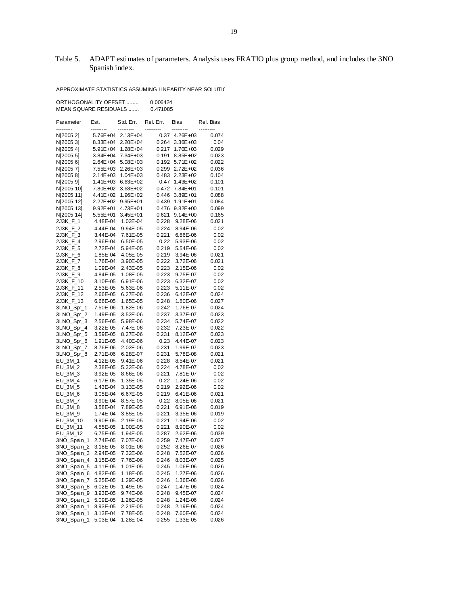# Table 5. ADAPT estimates of parameters. Analysis uses FRATIO plus group method, and includes the 3NO Spanish index.

APPROXIMATE STATISTICS ASSUMING LINEARITY NEAR SOLUTIC

ORTHOGONALITY OFFSET......... 0.006424 MEAN SQUARE RESIDUALS ....... 0.471085

| Parameter<br>--------- | Est.                 | Std. Err.<br>--------- | Rel. Err.      | Bias                 | Rel. Bias     |
|------------------------|----------------------|------------------------|----------------|----------------------|---------------|
| N[2005 2]              | 5.76E+04             | 2.13E+04               | 0.37           | $4.26E + 03$         | 0.074         |
| N[2005 3]              | $8.33E + 04$         | 2.20E+04               | 0.264          | $3.36E + 03$         | 0.04          |
| N[2005 4]              | 5.91E+04             | 1.28E+04               | 0.217          | 1.70E+03             | 0.029         |
| N[2005 5]              | 3.84E+04             | 7.34E+03               | 0.191          | 8.85E+02             | 0.023         |
| N[2005 6]              | 2.64E+04             | 5.08E+03               | 0.192          | 5.71E+02             | 0.022         |
| N[2005 7]              | 7.55E+03             | 2.26E+03               | 0.299          | 2.72E+02             | 0.036         |
| N[2005 8]              | $2.14E + 03$         | 1.04E+03               | 0.483          | 2.23E+02             | 0.104         |
| N[2005 9]              | 1.41E+03             | 6.63E+02               | 0.47           | $1.43E + 02$         | 0.101         |
| N[2005 10]             | 7.80E+02             | 3.68E+02               | 0.472          | 7.84E+01             | 0.101         |
| N[2005 11]             | $4.41E + 02$         | 1.96E+02               | 0.446          | 3.89E+01             | 0.088         |
| N[2005 12]             | 2.27E+02             | 9.95E+01               | 0.439          | $1.91E + 01$         | 0.084         |
| N[2005 13]             | $9.92E + 01$         | 4.73E+01               | 0.476          | $9.82E + 00$         | 0.099         |
| N[2005 14]             | $5.55E + 01$         | 3.45E+01               | 0.621          | $9.14E + 00$         | 0.165         |
| 2J3K_F_1               | 4.48E-04             | 1.02E-04               | 0.228          | 9.28E-06             | 0.021         |
| 2J3K_F_2               | 4.44E-04             | 9.94E-05               | 0.224          | 8.94E-06             | 0.02          |
| 2J3K_F_3               | 3.44E-04             | 7.61E-05               | 0.221          | 6.86E-06             | 0.02          |
| 2J3K_F_4               | 2.96E-04             | 6.50E-05               | 0.22           | 5.93E-06             | 0.02          |
| 2J3K_F_5               | 2.72E-04             | 5.94E-05               | 0.219          | 5.54E-06             | 0.02          |
| 2J3K_F_6               | 1.85E-04             | 4.05E-05               | 0.219          | 3.94E-06             | 0.021         |
| 2J3K_F_7               | 1.76E-04             | 3.90E-05               | 0.222          | 3.72E-06             | 0.021         |
| 2J3K_F_8               | 1.09E-04             | 2.43E-05               | 0.223          | 2.15E-06             | 0.02          |
| 2J3K_F_9               | 4.84E-05             | 1.08E-05               | 0.223          | 9.75E-07             | 0.02          |
| 2J3K_F_10              | 3.10E-05             | 6.91E-06               | 0.223          | 6.32E-07             | 0.02          |
| 2J3K_F_11              | 2.53E-05             | 5.63E-06               | 0.223          | 5.11E-07             | 0.02          |
| 2J3K_F_12              | 2.66E-05             | 6.27E-06               | 0.236          | 6.42E-07             | 0.024         |
| 2J3K_F_13              | 6.66E-05             | 1.65E-05               | 0.248          | 1.80E-06             | 0.027         |
| 3LNO_Spr_1             | 7.50E-06             | 1.82E-06               | 0.242          | 1.76E-07             | 0.024         |
| 3LNO_Spr_2             | 1.49E-05             | 3.52E-06               | 0.237          | 3.37E-07             | 0.023         |
| 3LNO_Spr_3             | 2.56E-05             | 5.98E-06               | 0.234          | 5.74E-07             | 0.022         |
| 3LNO_Spr_4             | 3.22E-05             | 7.47E-06               | 0.232          | 7.23E-07             | 0.022         |
| 3LNO_Spr_5             | 3.59E-05             | 8.27E-06               | 0.231          | 8.12E-07             | 0.023         |
| 3LNO_Spr_6             | 1.91E-05             | 4.40E-06               | 0.23           | 4.44E-07             | 0.023         |
| 3LNO_Spr_7             | 8.76E-06             | 2.02E-06               | 0.231          | 1.99E-07             | 0.023         |
| 3LNO_Spr_8             | 2.71E-06             | 6.28E-07               | 0.231          | 5.78E-08             | 0.021         |
| EU_3M_1                | 4.12E-05             | 9.41E-06               | 0.228          | 8.54E-07             | 0.021         |
| $EU_3M_2$              | 2.38E-05             | 5.32E-06               | 0.224          | 4.78E-07             | 0.02          |
| $EU_3M_3$              | 3.92E-05             | 8.66E-06               | 0.221          | 7.81E-07             | 0.02          |
| EU_3M_4                | 6.17E-05             | 1.35E-05               | 0.22           | 1.24E-06             | 0.02          |
| EU_3M_5<br>$EU_3M_6$   | 1.43E-04<br>3.05E-04 | 3.13E-05<br>6.67E-05   | 0.219<br>0.219 | 2.92E-06<br>6.41E-06 | 0.02<br>0.021 |
| EU_3M_7                | 3.90E-04             | 8.57E-05               | 0.22           | 8.05E-06             | 0.021         |
| EU_3M_8                | 3.58E-04             | 7.89E-05               | 0.221          | 6.91E-06             | 0.019         |
| EU_3M_9                | 1.74E-04             | 3.85E-05               | 0.221          | 3.35E-06             | 0.019         |
| EU_3M_10               | 9.90E-05             | 2.19E-05               | 0.221          | 1.94E-06             | 0.02          |
| EU_3M_11               | 4.55E-05             | 1.00E-05               | 0.221          | 8.90E-07             | 0.02          |
| EU_3M_12               | 6.75E-05             | 1.94E-05               | 0.287          | 2.62E-06             | 0.039         |
| 3NO Spain 1            | 2.74E-05             | 7.07E-06               | 0.259          | 7.47E-07             | 0.027         |
| 3NO_Spain_2            | 3.18E-05             | 8.01E-06               | 0.252          | 8.26E-07             | 0.026         |
| 3NO_Spain_3            | 2.94E-05             | 7.32E-06               | 0.248          | 7.52E-07             | 0.026         |
| 3NO_Spain_4            | 3.15E-05             | 7.76E-06               | 0.246          | 8.03E-07             | 0.025         |
| 3NO_Spain_5            | 4.11E-05             | 1.01E-05               | 0.245          | 1.06E-06             | 0.026         |
| 3NO_Spain_6            | 4.82E-05             | 1.18E-05               | 0.245          | 1.27E-06             | 0.026         |
| 3NO_Spain_7            | 5.25E-05             | 1.29E-05               | 0.246          | 1.36E-06             | 0.026         |
| 3NO_Spain_8            | 6.02E-05             | 1.49E-05               | 0.247          | 1.47E-06             | 0.024         |
| 3NO_Spain_9            | 3.93E-05             | 9.74E-06               | 0.248          | 9.45E-07             | 0.024         |
| 3NO_Spain_1            | 5.09E-05             | 1.26E-05               | 0.248          | 1.24E-06             | 0.024         |
| 3NO_Spain_1            | 8.93E-05             | 2.21E-05               | 0.248          | 2.19E-06             | 0.024         |
| 3NO_Spain_1            | 3.13E-04             | 7.78E-05               | 0.248          | 7.60E-06             | 0.024         |
| 3NO_Spain_1            | 5.03E-04             | 1.28E-04               | 0.255          | 1.33E-05             | 0.026         |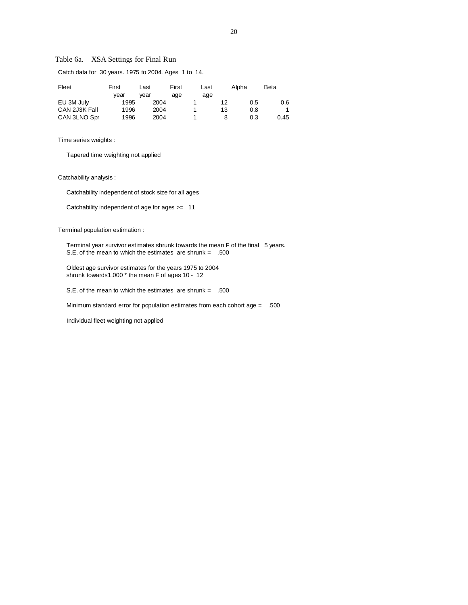# Table 6a. XSA Settings for Final Run

| Fleet         | First | Last | First | Last |    | Alpha | Beta |
|---------------|-------|------|-------|------|----|-------|------|
|               | vear  | vear | age   | age  |    |       |      |
| EU 3M July    | 1995  | 2004 |       |      | 12 | 0.5   | 0.6  |
| CAN 2J3K Fall | 1996  | 2004 |       |      | 13 | 0.8   |      |
| CAN 3LNO Spr  | 1996  | 2004 |       |      | 8  | 0.3   | 0.45 |

Catch data for 30 years. 1975 to 2004. Ages 1 to 14.

Time series weights :

Tapered time weighting not applied

Catchability analysis :

Catchability independent of stock size for all ages

Catchability independent of age for ages >= 11

Terminal population estimation :

Terminal year survivor estimates shrunk towards the mean F of the final 5 years. S.E. of the mean to which the estimates are shrunk = .500

 Oldest age survivor estimates for the years 1975 to 2004 shrunk towards1.000 \* the mean F of ages 10 - 12

S.E. of the mean to which the estimates are shrunk = .500

Minimum standard error for population estimates from each cohort age = .500

Individual fleet weighting not applied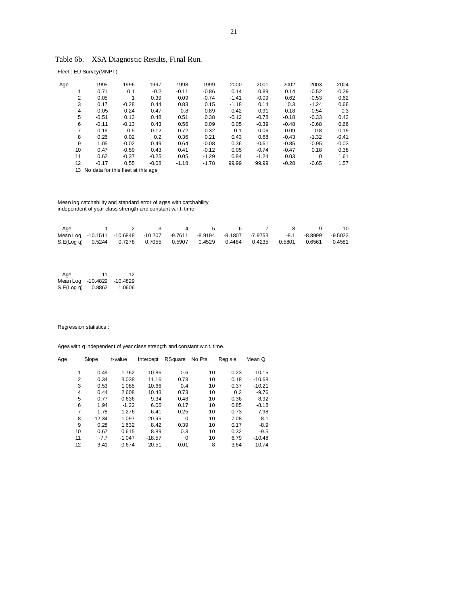| Table 6b. |  | XSA Diagnostic Results, Final Run. |  |  |  |
|-----------|--|------------------------------------|--|--|--|
|-----------|--|------------------------------------|--|--|--|

Fleet : EU Survey(MNPT)

| Age |                  | 1995    | 1996    | 1997    | 1998    | 1999    | 2000    | 2001    | 2002    | 2003     | 2004    |
|-----|------------------|---------|---------|---------|---------|---------|---------|---------|---------|----------|---------|
|     |                  | 0.71    | 0.1     | $-0.2$  | $-0.11$ | $-0.86$ | 0.14    | 0.89    | 0.14    | $-0.52$  | $-0.29$ |
|     | 2                | 0.05    |         | 0.39    | 0.09    | $-0.74$ | $-1.41$ | $-0.09$ | 0.62    | $-0.53$  | 0.62    |
|     | 3                | 0.17    | $-0.28$ | 0.44    | 0.83    | 0.15    | $-1.18$ | 0.14    | 0.3     | $-1.24$  | 0.66    |
|     | 4                | $-0.05$ | 0.24    | 0.47    | 0.8     | 0.89    | $-0.42$ | $-0.91$ | $-0.18$ | $-0.54$  | $-0.3$  |
|     | 5                | $-0.51$ | 0.13    | 0.48    | 0.51    | 0.38    | $-0.12$ | $-0.78$ | $-0.18$ | $-0.33$  | 0.42    |
|     | 6                | $-0.11$ | $-0.13$ | 0.43    | 0.56    | 0.09    | 0.05    | $-0.39$ | $-0.48$ | $-0.68$  | 0.66    |
|     | 7                | 0.19    | $-0.5$  | 0.12    | 0.72    | 0.32    | $-0.1$  | $-0.06$ | $-0.09$ | $-0.8$   | 0.19    |
|     | 8                | 0.26    | 0.02    | 0.2     | 0.36    | 0.21    | 0.43    | 0.68    | $-0.43$ | $-1.32$  | $-0.41$ |
|     | 9                | 1.05    | $-0.02$ | 0.49    | 0.64    | $-0.08$ | 0.36    | $-0.61$ | $-0.85$ | $-0.95$  | $-0.03$ |
|     | 10 <sup>10</sup> | 0.47    | $-0.59$ | 0.43    | 0.41    | $-0.12$ | 0.05    | $-0.74$ | $-0.47$ | 0.18     | 0.38    |
|     | 11               | 0.62    | $-0.37$ | $-0.25$ | 0.05    | $-1.29$ | 0.84    | $-1.24$ | 0.03    | $\Omega$ | 1.61    |
|     | 12               | $-0.17$ | 0.55    | $-0.08$ | $-1.18$ | $-1.78$ | 99.99   | 99.99   | $-0.28$ | $-0.65$  | 1.57    |
|     |                  |         |         |         |         |         |         |         |         |          |         |

13 No data for this fleet at this age

 Mean log catchability and standard error of ages with catchability independent of year class strength and constant w.r.t. time

| Aae |                                                                                         | $\sim$ 4 |  |  | - 9 | -10 |
|-----|-----------------------------------------------------------------------------------------|----------|--|--|-----|-----|
|     | Mean Log -10.1511 -10.6848 -10.207 -9.7611 -8.9194 -8.1807 -7.9753 -8.1 -8.8999 -9.5023 |          |  |  |     |     |
|     | S.E(Log q) 0.5244 0.7278 0.7055 0.5907 0.4529 0.4484 0.4235 0.5801 0.6561 0.4581        |          |  |  |     |     |

| Age        | 11         | 12         |
|------------|------------|------------|
| Mean Log   | $-10.4829$ | $-10.4829$ |
| S.E(Log q) | 0.8862     | 1.0606     |

Regression statistics :

| Slope    | t-value  | Intercept | RSquare  | No Pts | Reg s.e | Mean Q   |
|----------|----------|-----------|----------|--------|---------|----------|
|          |          |           |          |        |         |          |
| 0.49     | 1.762    | 10.86     | 0.6      | 10     | 0.23    | $-10.15$ |
| 0.34     | 3.038    | 11.16     | 0.73     | 10     | 0.18    | $-10.68$ |
| 0.53     | 1.085    | 10.66     | 0.4      | 10     | 0.37    | $-10.21$ |
| 0.44     | 2.608    | 10.43     | 0.73     | 10     | 0.2     | $-9.76$  |
| 0.77     | 0.636    | 9.34      | 0.48     | 10     | 0.36    | $-8.92$  |
| 1.94     | $-1.22$  | 6.06      | 0.17     | 10     | 0.85    | $-8.18$  |
| 1.78     | $-1.276$ | 6.41      | 0.25     | 10     | 0.73    | $-7.98$  |
| $-12.34$ | $-1.097$ | 20.95     | $\Omega$ | 10     | 7.08    | $-8.1$   |
| 0.28     | 1.632    | 8.42      | 0.39     | 10     | 0.17    | $-8.9$   |
| 0.67     | 0.615    | 8.89      | 0.3      | 10     | 0.32    | $-9.5$   |
| $-7.7$   | $-1.047$ | $-18.57$  | $\Omega$ | 10     | 6.79    | $-10.48$ |
| 3.41     | $-0.674$ | 20.51     | 0.01     | 8      | 3.64    | $-10.74$ |
|          |          |           |          |        |         |          |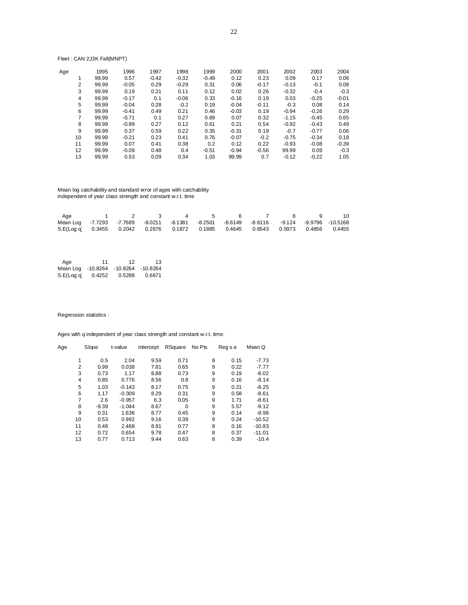# Fleet : CAN 2J3K Fall(MNPT)

| Age |    | 1995  | 1996    | 1997    | 1998    | 1999    | 2000    | 2001    | 2002    | 2003    | 2004    |
|-----|----|-------|---------|---------|---------|---------|---------|---------|---------|---------|---------|
|     |    | 99.99 | 0.57    | $-0.42$ | $-0.32$ | $-0.49$ | 0.12    | 0.23    | 0.09    | 0.17    | 0.06    |
|     | 2  | 99.99 | $-0.05$ | 0.29    | $-0.29$ | 0.31    | 0.06    | $-0.17$ | $-0.13$ | $-0.1$  | 0.08    |
|     | 3  | 99.99 | 0.19    | 0.31    | 0.11    | 0.12    | 0.02    | 0.26    | $-0.32$ | $-0.4$  | $-0.3$  |
|     | 4  | 99.99 | $-0.17$ | 0.1     | $-0.06$ | 0.33    | $-0.16$ | 0.19    | 0.03    | $-0.25$ | $-0.01$ |
|     | 5  | 99.99 | $-0.04$ | 0.28    | $-0.2$  | 0.19    | $-0.04$ | $-0.11$ | $-0.3$  | 0.08    | 0.14    |
|     | 6  | 99.99 | $-0.41$ | 0.49    | 0.21    | 0.46    | $-0.03$ | 0.19    | $-0.94$ | $-0.26$ | 0.29    |
|     | 7  | 99.99 | $-0.71$ | 0.1     | 0.27    | 0.89    | 0.07    | 0.32    | $-1.15$ | $-0.45$ | 0.65    |
|     | 8  | 99.99 | $-0.89$ | 0.27    | 0.12    | 0.61    | 0.21    | 0.54    | $-0.92$ | $-0.43$ | 0.49    |
|     | 9  | 99.99 | 0.37    | 0.59    | 0.22    | 0.35    | $-0.31$ | 0.19    | $-0.7$  | $-0.77$ | 0.06    |
|     | 10 | 99.99 | $-0.21$ | 0.23    | 0.41    | 0.76    | $-0.07$ | $-0.2$  | $-0.75$ | $-0.34$ | 0.18    |
|     | 11 | 99.99 | 0.07    | 0.41    | 0.38    | 0.2     | 0.12    | 0.22    | $-0.93$ | $-0.08$ | $-0.39$ |
|     | 12 | 99.99 | $-0.09$ | 0.48    | 0.4     | $-0.51$ | $-0.94$ | $-0.56$ | 99.99   | 0.09    | $-0.3$  |
|     | 13 | 99.99 | 0.53    | 0.09    | 0.34    | 1.03    | 99.99   | 0.7     | $-0.12$ | $-0.22$ | 1.05    |

 Mean log catchability and standard error of ages with catchability independent of year class strength and constant w.r.t. time

| Age                                                                                                |  | $\sim$ 4 |  |  | 10 |
|----------------------------------------------------------------------------------------------------|--|----------|--|--|----|
| Mean Log  -7.7293  -7.7689  -8.0211  -8.1381  -8.2501  -8.6149  -8.6116  -9.124  -9.9796  -10.5168 |  |          |  |  |    |
| S.E(Log q) 0.3455 0.2042 0.2676 0.1872 0.1885 0.4645 0.6543 0.5973 0.4856 0.4455                   |  |          |  |  |    |

| Age        | 11     | 12                         | 13     |
|------------|--------|----------------------------|--------|
| Mean Log   |        | -10.8264 -10.8264 -10.8264 |        |
| S.E(Log q) | 0.4252 | 0.5288                     | 0.6671 |

Regression statistics :

| Age |    | Slope   | t-value  | Intercept | RSquare  | No Pts | Reg s.e | Mean Q   |
|-----|----|---------|----------|-----------|----------|--------|---------|----------|
|     |    |         |          |           |          |        |         |          |
|     | 1  | 0.5     | 2.04     | 9.59      | 0.71     | 9      | 0.15    | $-7.73$  |
|     | 2  | 0.99    | 0.038    | 7.81      | 0.65     | 9      | 0.22    | $-7.77$  |
|     | 3  | 0.73    | 1.17     | 8.88      | 0.73     | 9      | 0.19    | $-8.02$  |
|     | 4  | 0.85    | 0.776    | 8.56      | 0.8      | 9      | 0.16    | $-8.14$  |
|     | 5  | 1.03    | $-0.143$ | 8.17      | 0.75     | 9      | 0.21    | $-8.25$  |
|     | 6  | 1.17    | $-0.309$ | 8.29      | 0.31     | 9      | 0.58    | $-8.61$  |
|     | 7  | 2.6     | $-0.957$ | 6.3       | 0.05     | 9      | 1.71    | $-8.61$  |
|     | 8  | $-9.39$ | $-1.044$ | 8.67      | $\Omega$ | 9      | 5.57    | $-9.12$  |
|     | 9  | 0.31    | 1.636    | 8.77      | 0.45     | 9      | 0.14    | $-9.98$  |
|     | 10 | 0.53    | 0.992    | 9.16      | 0.39     | 9      | 0.24    | $-10.52$ |
|     | 11 | 0.48    | 2.468    | 8.91      | 0.77     | 9      | 0.16    | $-10.83$ |
|     | 12 | 0.72    | 0.654    | 9.78      | 0.47     | 8      | 0.37    | $-11.01$ |
|     | 13 | 0.77    | 0.713    | 9.44      | 0.63     | 8      | 0.39    | $-10.4$  |
|     |    |         |          |           |          |        |         |          |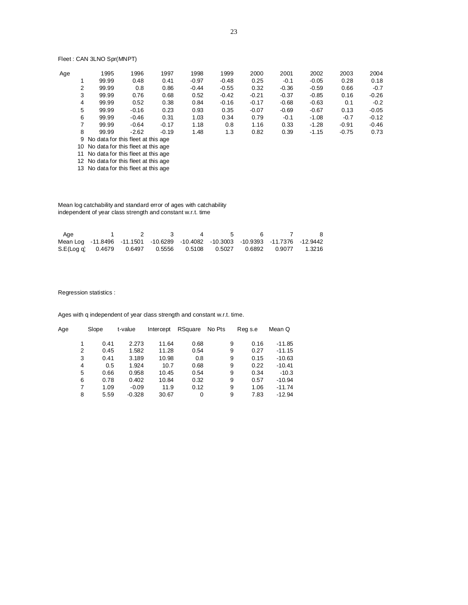# Fleet : CAN 3LNO Spr(MNPT)

| Age |   | 1995                                  | 1996    | 1997    | 1998    | 1999    | 2000    | 2001    | 2002    | 2003    | 2004    |  |
|-----|---|---------------------------------------|---------|---------|---------|---------|---------|---------|---------|---------|---------|--|
|     |   | 99.99                                 | 0.48    | 0.41    | $-0.97$ | $-0.48$ | 0.25    | $-0.1$  | $-0.05$ | 0.28    | 0.18    |  |
|     | 2 | 99.99                                 | 0.8     | 0.86    | $-0.44$ | $-0.55$ | 0.32    | $-0.36$ | $-0.59$ | 0.66    | $-0.7$  |  |
|     | 3 | 99.99                                 | 0.76    | 0.68    | 0.52    | $-0.42$ | $-0.21$ | $-0.37$ | $-0.85$ | 0.16    | $-0.26$ |  |
|     | 4 | 99.99                                 | 0.52    | 0.38    | 0.84    | $-0.16$ | $-0.17$ | $-0.68$ | $-0.63$ | 0.1     | $-0.2$  |  |
|     | 5 | 99.99                                 | $-0.16$ | 0.23    | 0.93    | 0.35    | $-0.07$ | $-0.69$ | $-0.67$ | 0.13    | $-0.05$ |  |
|     | 6 | 99.99                                 | $-0.46$ | 0.31    | 1.03    | 0.34    | 0.79    | $-0.1$  | $-1.08$ | $-0.7$  | $-0.12$ |  |
|     | 7 | 99.99                                 | $-0.64$ | $-0.17$ | 1.18    | 0.8     | 1.16    | 0.33    | $-1.28$ | $-0.91$ | $-0.46$ |  |
|     | 8 | 99.99                                 | $-2.62$ | $-0.19$ | 1.48    | 1.3     | 0.82    | 0.39    | $-1.15$ | $-0.75$ | 0.73    |  |
|     |   | 9 No data for this fleet at this age  |         |         |         |         |         |         |         |         |         |  |
|     |   | 10 No data for this fleet at this age |         |         |         |         |         |         |         |         |         |  |

11 No data for this fleet at this age 12 No data for this fleet at this age

13 No data for this fleet at this age

 Mean log catchability and standard error of ages with catchability independent of year class strength and constant w.r.t. time

| Aae                                                                              |  | $\overline{a}$ |  | -8 |
|----------------------------------------------------------------------------------|--|----------------|--|----|
| Mean Log -11.8496 -11.1501 -10.6289 -10.4082 -10.3003 -10.9393 -11.7376 -12.9442 |  |                |  |    |
| S.E(Log q 0.4679 0.6497 0.5556 0.5108 0.5027 0.6892 0.9077 1.3216                |  |                |  |    |

## Regression statistics :

| Age | Slope | t-value  | Intercept | RSquare | No Pts | Reg s.e | Mean Q   |
|-----|-------|----------|-----------|---------|--------|---------|----------|
|     | 0.41  | 2.273    | 11.64     | 0.68    | 9      | 0.16    | $-11.85$ |
| 2   | 0.45  | 1.582    | 11.28     | 0.54    | 9      | 0.27    | $-11.15$ |
| 3   | 0.41  | 3.189    | 10.98     | 0.8     | 9      | 0.15    | $-10.63$ |
| 4   | 0.5   | 1.924    | 10.7      | 0.68    | 9      | 0.22    | $-10.41$ |
| 5   | 0.66  | 0.958    | 10.45     | 0.54    | 9      | 0.34    | $-10.3$  |
| 6   | 0.78  | 0.402    | 10.84     | 0.32    | 9      | 0.57    | $-10.94$ |
| 7   | 1.09  | $-0.09$  | 11.9      | 0.12    | 9      | 1.06    | $-11.74$ |
| 8   | 5.59  | $-0.328$ | 30.67     | 0       | 9      | 7.83    | $-12.94$ |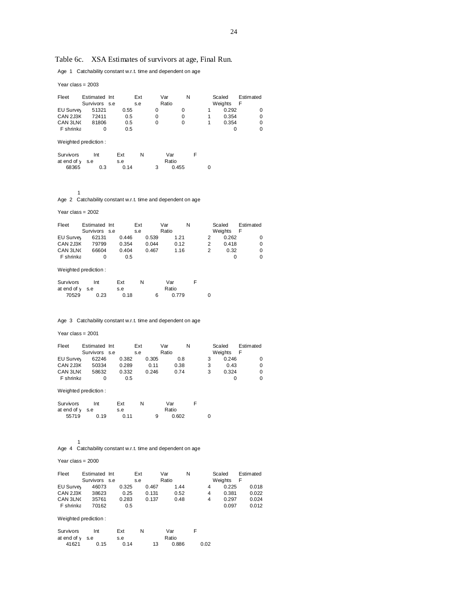# Table 6c. XSA Estimates of survivors at age, Final Run.

Age 1 Catchability constant w.r.t. time and dependent on age

Year class = 2003

| Fleet     | Estimated Int        |  |      | Ext | Var      | N        |  | Scaled  | Estimated |  |
|-----------|----------------------|--|------|-----|----------|----------|--|---------|-----------|--|
|           | Survivors s.e        |  |      | s.e | Ratio    |          |  | Weights | F         |  |
| EU Survey | 51321                |  | 0.55 |     | 0        | $\Omega$ |  | 0.292   | 0         |  |
| CAN 2J3K  | 72411                |  | 0.5  |     | $\Omega$ | 0        |  | 0.354   | 0         |  |
| CAN 3LN   | 81806                |  | 0.5  |     | 0        | $\Omega$ |  | 0.354   | 0         |  |
| F shrinka |                      |  | 0.5  |     |          |          |  | 0       | 0         |  |
|           | Weighted prediction: |  |      |     |          |          |  |         |           |  |

| Survivors       | Int | Ext  | N | Var   |  |
|-----------------|-----|------|---|-------|--|
| at end of v s.e |     | s.e  |   | Ratio |  |
| 68365           | 0.3 | 0.14 |   | 0.455 |  |

1

Age 2 Catchability constant w.r.t. time and dependent on age

Year class = 2002

| Fleet            | Estimated Int<br>Survivors s.e |       | Ext<br>s.e |       | Var<br>Ratio |      | N |   | Scaled<br>Weights | Estimated<br>F |
|------------------|--------------------------------|-------|------------|-------|--------------|------|---|---|-------------------|----------------|
| <b>EU Survey</b> | 62131                          | 0.446 |            | 0.539 |              | 1.21 |   |   | 0.262             | 0              |
| CAN 2J3K         | 79799                          | 0.354 |            | 0.044 |              | 0.12 |   | 2 | 0418              | 0              |
| CAN 3LNC         | 66604                          | 0.404 |            | 0.467 |              | 1.16 |   |   | 0.32              | 0              |
| F shrinka        |                                | 0.5   |            |       |              |      |   |   |                   |                |

Weighted prediction :

| Survivors       | Int  | Ext  | N | Var   |  |
|-----------------|------|------|---|-------|--|
| at end of v s.e |      | s.e  |   | Ratio |  |
| 70529           | 0.23 | 0.18 |   | 0.779 |  |

Age 3 Catchability constant w.r.t. time and dependent on age

Year class = 2001

| Fleet            | Estimated Int |       | Ext |       | Var   |      | N |   | Scaled  | Estimated |  |
|------------------|---------------|-------|-----|-------|-------|------|---|---|---------|-----------|--|
|                  | Survivors s.e |       | s.e |       | Ratio |      |   |   | Weights |           |  |
| <b>EU Survey</b> | 62246         | 0.382 |     | 0.305 |       | 0.8  |   | 3 | 0.246   |           |  |
| CAN 2J3K         | 50334         | 0.289 |     | 0.11  |       | 0.38 |   | 3 | 0.43    |           |  |
| CAN 3LNC         | 58632         | 0.332 |     | 0.246 |       | 0.74 |   | 3 | 0.324   | 0         |  |
| F shrinka        |               | 0.5   |     |       |       |      |   |   |         |           |  |

Weighted prediction :

| Survivors         | Int  | Ext  |   | Var   |  |
|-------------------|------|------|---|-------|--|
| at end of $y$ s.e |      | s.e  |   | Ratio |  |
| 55719             | 0.19 | 0.11 | 9 | 0.602 |  |

1

Age 4 Catchability constant w.r.t. time and dependent on age

Year class = 2000

| Fleet            | Estimated Int |       | Ext |       | Var   |      | N |   | Scaled  | Estimated |
|------------------|---------------|-------|-----|-------|-------|------|---|---|---------|-----------|
|                  | Survivors s.e |       | s.e |       | Ratio |      |   |   | Weights | F         |
| <b>EU Survey</b> | 46073         | 0.325 |     | 0.467 |       | 1.44 |   | 4 | 0.225   | 0.018     |
| CAN 2J3K         | 38623         | 0.25  |     | 0.131 |       | 0.52 |   | 4 | 0.381   | 0.022     |
| CAN 3LNO         | 35761         | 0.283 |     | 0.137 |       | 0.48 |   | 4 | 0.297   | 0.024     |
| F shrinka        | 70162         | 0.5   |     |       |       |      |   |   | 0.097   | 0.012     |

Weighted prediction :

| Survivors       | Int  | Ext  | N |                  | Var   |      |
|-----------------|------|------|---|------------------|-------|------|
| at end of v s.e |      | s.e  |   |                  | Ratio |      |
| 41621           | 0.15 | 0.14 |   | 13 <sup>13</sup> | 0.886 | 0.02 |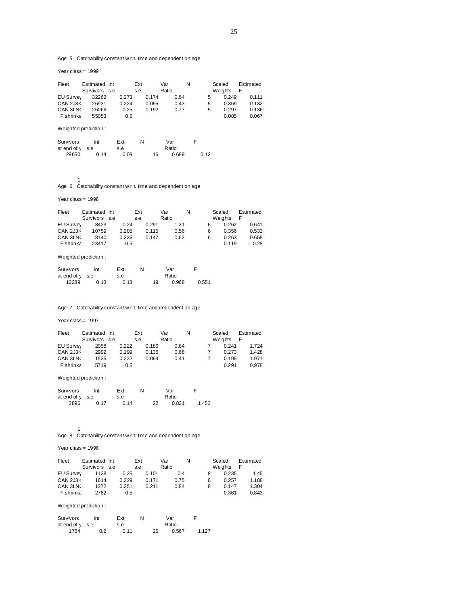Age 5 Catchability constant w.r.t. time and dependent on age

Year class = 1999

| Fleet       | Estimated Int                                          |       | Ext |       | Var   |       | N |      | Scaled  | Estimated |
|-------------|--------------------------------------------------------|-------|-----|-------|-------|-------|---|------|---------|-----------|
|             | Survivors s.e                                          |       | s.e |       | Ratio |       |   |      | Weights | F         |
| EU Survey   | 32262                                                  | 0.273 |     | 0.174 |       | 0.64  |   | 5    | 0.249   | 0.111     |
| CAN 2J3K    | 26931                                                  | 0.224 |     | 0.095 |       | 0.43  |   | 5    | 0.369   | 0.132     |
| CAN 3LNO    | 26066                                                  | 0.25  |     | 0.192 |       | 0.77  |   | 5    | 0.297   | 0.136     |
| F shrinka   | 55053                                                  | 0.5   |     |       |       |       |   |      | 0.085   | 0.067     |
|             | Weighted prediction:                                   |       |     |       |       |       |   |      |         |           |
| Survivors   | Int                                                    | Ext   | N   |       | Var   |       | F |      |         |           |
| at end of v | s.e                                                    | s.e   |     |       | Ratio |       |   |      |         |           |
| 29650       | 0.14                                                   | 0.09  |     | 16    |       | 0.689 |   | 0.12 |         |           |
|             |                                                        |       |     |       |       |       |   |      |         |           |
|             |                                                        |       |     |       |       |       |   |      |         |           |
| 1           |                                                        |       |     |       |       |       |   |      |         |           |
| Age 6       | Catchability constant w.r.t. time and dependent on age |       |     |       |       |       |   |      |         |           |
|             |                                                        |       |     |       |       |       |   |      |         |           |

Year class = 1998

| Fleet            | Estimated Int | Ext   |       | Var   |      | N |   | Scaled  | Estimated |
|------------------|---------------|-------|-------|-------|------|---|---|---------|-----------|
|                  | Survivors s.e | s.e   |       | Ratio |      |   |   | Weights | F         |
| <b>EU Survey</b> | 8423          | 0.24  | 0.291 |       | 1.21 |   | 6 | 0.262   | 0.641     |
| CAN 2J3K         | 10759         | 0.205 | 0.115 |       | 0.56 |   | 6 | 0.356   | 0.533     |
| CAN 3LNO         | 8140          | 0.236 | 0.147 |       | 0.62 |   | 6 | 0.263   | 0.658     |
| F shrinka        | 23417         | 0.5   |       |       |      |   |   | 0.119   | 0.28      |

# Weighted prediction :

| Survivors       | Int  | Ext  | N |    | Var   |       |
|-----------------|------|------|---|----|-------|-------|
| at end of v s.e |      | s.e  |   |    | Ratio |       |
| 10289           | 0.13 | 0.13 |   | 19 | 0.968 | 0.551 |

Age 7 Catchability constant w.r.t. time and dependent on age

#### Year class = 1997

| Fleet     | Estimated Int | Ext   |       | Var   | N | Scaled |         | Estimated |
|-----------|---------------|-------|-------|-------|---|--------|---------|-----------|
|           | Survivors s.e | s.e   |       | Ratio |   |        | Weights |           |
| EU Survey | 2058          | 0.222 | 0.186 | 0.84  |   |        | 0.241   | 1.724     |
| CAN 2J3K  | 2992          | 0.199 | 0.136 | 0.68  |   |        | 0.273   | 1.428     |
| CAN 3LNO  | 1535          | 0.232 | 0.094 | 0.41  |   |        | 0.195   | 1.971     |
| F shrinka | 5719          | 0.5   |       |       |   |        | 0.291   | 0.978     |

# Weighted prediction :

| Survivors         | Int  | Ext  |    | Var   |       |
|-------------------|------|------|----|-------|-------|
| at end of $y$ s.e |      | s.e  |    | Ratio |       |
| 2896              | 0.17 | 0.14 | 22 | 0.821 | 1.453 |

Age 8 Catchability constant w.r.t. time and dependent on age

#### Year class = 1996

1

| Fleet            | Estimated Int | Ext   |       | Var   | N |   | Scaled  | Estimated |
|------------------|---------------|-------|-------|-------|---|---|---------|-----------|
|                  | Survivors s.e | s.e   |       | Ratio |   |   | Weights |           |
| <b>EU Survey</b> | 1128          | 0.25  | 0.101 | 0.4   |   | 8 | 0.235   | 1.45      |
| CAN 2J3K         | 1614          | 0.229 | 0.171 | 0.75  |   | 8 | 0.257   | 1.188     |
| CAN 3LNO         | 1372          | 0.251 | 0.211 | 0.84  |   | 8 | 0.147   | 1.304     |
| F shrinka        | 2782          | 0.5   |       |       |   |   | 0.361   | 0.843     |

## Weighted prediction :

| Survivors       | Int | Ext  |    | Var   |       |
|-----------------|-----|------|----|-------|-------|
| at end of v s.e |     | s.e  |    | Ratio |       |
| 1764            | 0.2 | 0.11 | 25 | 0.567 | 1.127 |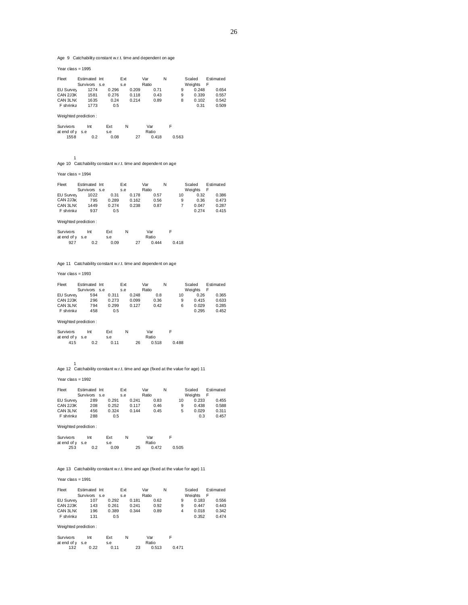Age 9 Catchability constant w.r.t. time and dependent on age

Year class = 1995

| Fleet           | Estimated Int |       | Ext   | Var   |      | N |   | Scaled  | Estimated |
|-----------------|---------------|-------|-------|-------|------|---|---|---------|-----------|
|                 | Survivors s.e |       | s.e   | Ratio |      |   |   | Weights |           |
| EU Survey       | 1274          | 0.296 | 0.209 |       | 0.71 |   | 9 | 0.248   | 0.654     |
| <b>CAN 2J3K</b> | 1581          | 0.276 | 0.118 |       | 0.43 |   | 9 | 0.339   | 0.557     |
| CAN 3LNO        | 1635          | 0.24  | 0.214 |       | 0.89 |   | 8 | 0.102   | 0.542     |
| F shrinka       | 1773          | 0.5   |       |       |      |   |   | 0.31    | 0.509     |
|                 |               |       |       |       |      |   |   |         |           |

#### Weighted prediction :

| Survivors       | Int | Ext  | Ν |    | Var   |       |
|-----------------|-----|------|---|----|-------|-------|
| at end of v s.e |     | s.e  |   |    | Ratio |       |
| 1558            | 0.2 | 0.08 |   | 27 | 0.418 | 0.563 |

1 Age 10 Catchability constant w.r.t. time and dependent on age

## Year class = 1994

| Estimated |
|-----------|
|           |
| 0.386     |
| 0.473     |
| 0.287     |
| 0.415     |
|           |

# Weighted prediction :

| Survivors      | Int | Ext  | Ν |    | Var   |       |
|----------------|-----|------|---|----|-------|-------|
| atend of v s.e |     | s.e  |   |    | Ratio |       |
| 927            | 0.2 | 0.09 |   | 27 | 0.444 | 0.418 |

## Age 11 Catchability constant w.r.t. time and dependent on age

## Year class = 1993

| Fleet           | Estimated Int | Ext   |       | Var   |      | N |    | Scaled  | Estimated |
|-----------------|---------------|-------|-------|-------|------|---|----|---------|-----------|
|                 | Survivors s.e | s.e   |       | Ratio |      |   |    | Weights |           |
| EU Survey       | 594           | 0.311 | 0.248 |       | 0.8  |   | 10 | 0.26    | 0.365     |
| <b>CAN 2J3K</b> | 296           | 0.273 | 0.099 |       | 0.36 |   | 9  | 0.415   | 0.633     |
| CAN 3LNO        | 794           | 0.299 | 0.127 |       | 0.42 |   | 6  | 0.029   | 0.285     |
| F shrinka       | 458           | 0.5   |       |       |      |   |    | 0.295   | 0.452     |

#### Weighted prediction :

| Survivors      | Int | Ext  | N |    | Var   |       |
|----------------|-----|------|---|----|-------|-------|
| atend of v s.e |     | s.e  |   |    | Ratio |       |
| 415            | 0.2 | 0.11 |   | 26 | 0.518 | 0.488 |

1 Age 12 Catchability constant w.r.t. time and age (fixed at the value for age) 11

Year class = 1992

| Fleet     | Estimated Int | Ext   |       | Var   |      | N |    | Scaled  | Estimated |
|-----------|---------------|-------|-------|-------|------|---|----|---------|-----------|
|           | Survivors s.e | s.e   |       | Ratio |      |   |    | Weights | F         |
| EU Survey | 289           | 0.291 | 0.241 |       | 0.83 |   | 10 | 0.233   | 0.455     |
| CAN 2J3K  | 208           | 0.252 | 0.117 |       | 0.46 |   | 9  | 0.438   | 0.588     |
| CAN 3LNO  | 456           | 0.324 | 0.144 |       | 0.45 |   | 5  | 0.029   | 0.311     |
| F shrinka | 288           | 0.5   |       |       |      |   |    | 0.3     | 0.457     |

#### Weighted prediction :

| Survivors       | Int | Ext  | N |    | Var   |       |
|-----------------|-----|------|---|----|-------|-------|
| at end of v s.e |     | s.e  |   |    | Ratio |       |
| 253             | 0.2 | 0.09 |   | 25 | 0.472 | 0.505 |

#### Age 13 Catchability constant w.r.t. time and age (fixed at the value for age) 11

## Year class = 1991

| Fleet           | Estimated Int |       | Ext |       | Var   |      | Ν |   | Scaled         | Estimated |
|-----------------|---------------|-------|-----|-------|-------|------|---|---|----------------|-----------|
|                 | Survivors s.e |       | s.e |       | Ratio |      |   |   | <b>Weights</b> | F         |
| EU Survey       | 107           | 0.292 |     | 0.181 |       | 0.62 |   | 9 | 0.183          | 0.556     |
| <b>CAN 2J3K</b> | 143           | 0.261 |     | 0.241 |       | 0.92 |   | 9 | 0.447          | 0.443     |
| CAN 3LNO        | 196           | 0.389 |     | 0.344 |       | 0.89 |   | 4 | 0.018          | 0.342     |
| F shrinka       | 131           | 0.5   |     |       |       |      |   |   | 0.352          | 0.474     |

#### Weighted prediction :

| Survivors       | Int  | Ext  | N |    | Var   |       |
|-----------------|------|------|---|----|-------|-------|
| at end of v s.e |      | s.e  |   |    | Ratio |       |
| 132             | 0.22 | 0.11 |   | 23 | 0.513 | 0.471 |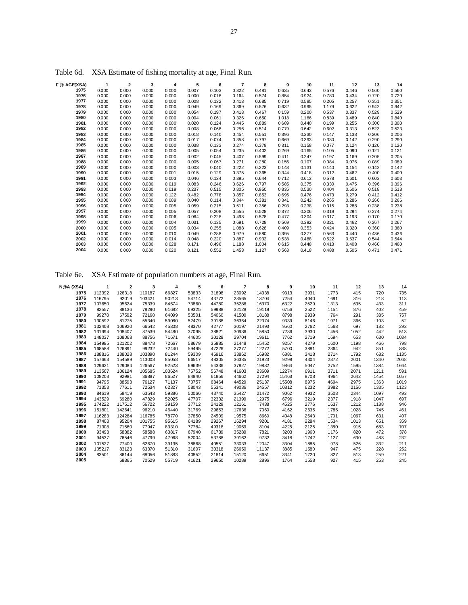| F @ AGE(XSA) | 1     | $\mathbf{2}$ | 3     | 4     | 5     | 6     | 7     | 8     | 9     | 10    | 11    | 12    | 13    | 14    |
|--------------|-------|--------------|-------|-------|-------|-------|-------|-------|-------|-------|-------|-------|-------|-------|
| 1975         | 0.000 | 0.000        | 0.000 | 0.000 | 0.007 | 0.103 | 0.322 | 0.481 | 0.635 | 0.643 | 0.576 | 0.446 | 0.560 | 0.560 |
| 1976         | 0.000 | 0.000        | 0.000 | 0.000 | 0.000 | 0.016 | 0.164 | 0.574 | 0.854 | 0.924 | 0.780 | 0.434 | 0.720 | 0.720 |
| 1977         | 0.000 | 0.000        | 0.000 | 0.000 | 0.008 | 0.132 | 0.413 | 0.685 | 0.719 | 0.585 | 0.205 | 0.257 | 0.351 | 0.351 |
| 1978         | 0.000 | 0.000        | 0.000 | 0.000 | 0.049 | 0.169 | 0.369 | 0.576 | 0.632 | 0.995 | 1.179 | 0.622 | 0.942 | 0.942 |
| 1979         | 0.000 | 0.000        | 0.000 | 0.000 | 0.054 | 0.197 | 0.418 | 0.467 | 0.159 | 0.200 | 0.537 | 0.837 | 0.529 | 0.529 |
| 1980         | 0.000 | 0.000        | 0.000 | 0.000 | 0.004 | 0.061 | 0.326 | 0.650 | 1.018 | 1.166 | 0.839 | 0.489 | 0.840 | 0.840 |
| 1981         | 0.000 | 0.000        | 0.000 | 0.000 | 0.020 | 0.124 | 0.445 | 0.889 | 0.689 | 0.440 | 0.199 | 0.255 | 0.300 | 0.300 |
| 1982         | 0.000 | 0.000        | 0.000 | 0.000 | 0.008 | 0.068 | 0.256 | 0.514 | 0.779 | 0.642 | 0.602 | 0.313 | 0.523 | 0.523 |
| 1983         | 0.000 | 0.000        | 0.000 | 0.000 | 0.018 | 0.140 | 0.454 | 0.551 | 0.396 | 0.330 | 0.147 | 0.138 | 0.206 | 0.206 |
| 1984         | 0.000 | 0.000        | 0.000 | 0.000 | 0.017 | 0.074 | 0.358 | 0.797 | 0.669 | 0.393 | 0.330 | 0.142 | 0.290 | 0.290 |
| 1985         | 0.000 | 0.000        | 0.000 | 0.000 | 0.038 | 0.133 | 0.274 | 0.379 | 0.311 | 0.158 | 0.077 | 0.124 | 0.120 | 0.120 |
| 1986         | 0.000 | 0.000        | 0.000 | 0.000 | 0.005 | 0.054 | 0.235 | 0.402 | 0.269 | 0.165 | 0.105 | 0.090 | 0.121 | 0.121 |
| 1987         | 0.000 | 0.000        | 0.000 | 0.000 | 0.002 | 0.045 | 0.407 | 0.599 | 0.411 | 0.247 | 0.197 | 0.169 | 0.205 | 0.205 |
| 1988         | 0.000 | 0.000        | 0.000 | 0.000 | 0.005 | 0.067 | 0.271 | 0.280 | 0.156 | 0.107 | 0.084 | 0.076 | 0.089 | 0.089 |
| 1989         | 0.000 | 0.000        | 0.000 | 0.000 | 0.003 | 0.040 | 0.222 | 0.223 | 0.143 | 0.131 | 0.140 | 0.154 | 0.142 | 0.142 |
| 1990         | 0.000 | 0.000        | 0.000 | 0.001 | 0.015 | 0.129 | 0.375 | 0.365 | 0.344 | 0.418 | 0.312 | 0.462 | 0.400 | 0.400 |
| 1991         | 0.000 | 0.000        | 0.000 | 0.003 | 0.046 | 0.134 | 0.395 | 0.644 | 0.712 | 0.613 | 0.578 | 0.601 | 0.603 | 0.603 |
| 1992         | 0.000 | 0.000        | 0.000 | 0.019 | 0.083 | 0.246 | 0.626 | 0.797 | 0.585 | 0.375 | 0.330 | 0.475 | 0.396 | 0.396 |
| 1993         | 0.000 | 0.000        | 0.000 | 0.019 | 0.237 | 0.515 | 0.805 | 0.950 | 0.835 | 0.530 | 0.404 | 0.606 | 0.518 | 0.518 |
| 1994         | 0.000 | 0.000        | 0.000 | 0.122 | 0.482 | 0.778 | 0.857 | 0.853 | 0.695 | 0.476 | 0.473 | 0.279 | 0.412 | 0.412 |
| 1995         | 0.000 | 0.000        | 0.000 | 0.009 | 0.040 | 0.114 | 0.344 | 0.381 | 0.341 | 0.242 | 0.265 | 0.286 | 0.266 | 0.266 |
| 1996         | 0.000 | 0.000        | 0.000 | 0.005 | 0.059 | 0.215 | 0.511 | 0.356 | 0.293 | 0.238 | 0.315 | 0.288 | 0.238 | 0.238 |
| 1997         | 0.000 | 0.000        | 0.000 | 0.005 | 0.057 | 0.208 | 0.555 | 0.528 | 0.372 | 0.306 | 0.319 | 0.294 | 0.274 | 0.274 |
| 1998         | 0.000 | 0.000        | 0.000 | 0.006 | 0.064 | 0.228 | 0.498 | 0.578 | 0.477 | 0.304 | 0.317 | 0.193 | 0.170 | 0.170 |
| 1999         | 0.000 | 0.000        | 0.000 | 0.004 | 0.031 | 0.135 | 0.691 | 0.728 | 0.569 | 0.392 | 0.321 | 0.462 | 0.267 | 0.267 |
| 2000         | 0.000 | 0.000        | 0.000 | 0.005 | 0.034 | 0.255 | 1.088 | 0.628 | 0.409 | 0.353 | 0.424 | 0.320 | 0.360 | 0.360 |
| 2001         | 0.000 | 0.000        | 0.000 | 0.010 | 0.049 | 0.288 | 0.979 | 0.880 | 0.395 | 0.377 | 0.563 | 0.440 | 0.436 | 0.436 |
| 2002         | 0.000 | 0.000        | 0.000 | 0.014 | 0.048 | 0.220 | 0.887 | 0.932 | 0.538 | 0.488 | 0.522 | 0.637 | 0.544 | 0.544 |
| 2003         | 0.000 | 0.000        | 0.000 | 0.028 | 0.171 | 0.496 | 1.188 | 1.004 | 0.615 | 0.448 | 0.413 | 0.408 | 0.460 | 0.460 |
| 2004         | 0.000 | 0.000        | 0.000 | 0.020 | 0.121 | 0.552 | 1.453 | 1.127 | 0.563 | 0.418 | 0.488 | 0.505 | 0.471 | 0.471 |

Table 6d. XSA Estimate of fishing mortality at age, Final Run.

Table 6e. XSA Estimate of population numbers at age, Final Run.

| N@A (XSA) |        | $\overline{2}$ | 3      | 4      | 5     | 6     | 7     | 8     | 9     | 10   | 11   | 12   | 13   | 14   |
|-----------|--------|----------------|--------|--------|-------|-------|-------|-------|-------|------|------|------|------|------|
| 1975      | 112392 | 126318         | 110187 | 66827  | 53833 | 31898 | 23092 | 14338 | 9313  | 3931 | 1773 | 415  | 720  | 735  |
| 1976      | 116795 | 92019          | 103421 | 90213  | 54714 | 43772 | 23565 | 13704 | 7254  | 4040 | 1691 | 816  | 218  | 113  |
| 1977      | 107650 | 95624          | 75339  | 84674  | 73860 | 44780 | 35286 | 16370 | 6322  | 2529 | 1313 | 635  | 433  | 311  |
| 1978      | 82557  | 88136          | 78290  | 61682  | 69325 | 59988 | 32128 | 19119 | 6756  | 2522 | 1154 | 876  | 402  | 459  |
| 1979      | 99270  | 67592          | 72160  | 64099  | 50501 | 54060 | 41500 | 18188 | 8798  | 2939 | 764  | 291  | 385  | 757  |
| 1980      | 130592 | 81275          | 55340  | 59080  | 52479 | 39188 | 36364 | 22374 | 9339  | 6146 | 1971 | 366  | 103  | 52   |
| 1981      | 132408 | 106920         | 66542  | 45308  | 48370 | 42777 | 30197 | 21493 | 9560  | 2762 | 1568 | 697  | 183  | 292  |
| 1982      | 131994 | 108407         | 87539  | 54480  | 37095 | 38821 | 30936 | 15850 | 7236  | 3930 | 1456 | 1052 | 442  | 513  |
| 1983      | 148037 | 108068         | 88756  | 71671  | 44605 | 30128 | 29704 | 19611 | 7762  | 2719 | 1694 | 653  | 630  | 1034 |
| 1984      | 154985 | 121202         | 88478  | 72667  | 58679 | 35885 | 21448 | 15452 | 9257  | 4279 | 1600 | 1198 | 466  | 798  |
| 1985      | 168588 | 126891         | 99232  | 72440  | 59495 | 47226 | 27277 | 12272 | 5700  | 3881 | 2364 | 942  | 851  | 838  |
| 1986      | 188816 | 138028         | 103890 | 81244  | 59309 | 46916 | 33862 | 16982 | 6881  | 3418 | 2714 | 1792 | 682  | 1135 |
| 1987      | 157663 | 154589         | 113008 | 85058  | 66517 | 48305 | 36385 | 21923 | 9298  | 4304 | 2372 | 2001 | 1340 | 2068 |
| 1988      | 129621 | 129084         | 126567 | 92523  | 69639 | 54336 | 37827 | 19832 | 9864  | 5047 | 2752 | 1595 | 1384 | 1664 |
| 1989      | 113567 | 106124         | 105685 | 103624 | 75752 | 56748 | 41603 | 23609 | 12274 | 6911 | 3711 | 2071 | 1211 | 591  |
| 1990      | 108208 | 92981          | 86887  | 86527  | 84840 | 61856 | 44662 | 27294 | 15463 | 8708 | 4964 | 2642 | 1454 | 1057 |
| 1991      | 94795  | 88593          | 76127  | 71137  | 70757 | 68464 | 44529 | 25137 | 15508 | 8975 | 4694 | 2975 | 1363 | 1019 |
| 1992      | 71353  | 77611          | 72534  | 62327  | 58043 | 55341 | 49036 | 24557 | 10812 | 6232 | 3982 | 2156 | 1335 | 1123 |
| 1993      | 84619  | 58419          | 63543  | 59386  | 50066 | 43740 | 35427 | 21472 | 9062  | 4932 | 3508 | 2344 | 1097 | 493  |
| 1994      | 143529 | 69280          | 47829  | 52025  | 47707 | 32332 | 21399 | 12975 | 6796  | 3219 | 2377 | 1918 | 1047 | 697  |
| 1995      | 174222 | 117512         | 56722  | 39159  | 37712 | 24129 | 12161 | 7438  | 4525  | 2776 | 1637 | 1212 | 1188 | 946  |
| 1996      | 151801 | 142641         | 96210  | 46440  | 31769 | 29653 | 17636 | 7060  | 4162  | 2635 | 1785 | 1028 | 745  | 461  |
| 1997      | 116283 | 124284         | 116785 | 78770  | 37850 | 24509 | 19575 | 8660  | 4048  | 2543 | 1701 | 1067 | 631  | 407  |
| 1998      | 87403  | 95204          | 101755 | 95615  | 64189 | 29267 | 16294 | 9201  | 4181  | 2284 | 1534 | 1013 | 651  | 359  |
| 1999      | 71308  | 71560          | 77947  | 83310  | 77784 | 49318 | 19069 | 8104  | 4228  | 2125 | 1380 | 915  | 683  | 707  |
| 2000      | 93493  | 58382          | 58588  | 63817  | 67940 | 61739 | 35289 | 7821  | 3203  | 1960 | 1176 | 820  | 472  | 378  |
| 2001      | 94537  | 76546          | 47799  | 47968  | 52004 | 53788 | 39162 | 9732  | 3418  | 1742 | 1127 | 630  | 488  | 232  |
| 2002      | 101527 | 77400          | 62670  | 39135  | 38868 | 40551 | 33033 | 12047 | 3304  | 1885 | 978  | 526  | 332  | 211  |
| 2003      | 105217 | 83123          | 63370  | 51310  | 31607 | 30318 | 26650 | 11137 | 3885  | 1580 | 947  | 475  | 228  | 252  |
| 2004      | 83501  | 86144          | 68056  | 51883  | 40852 | 21814 | 15120 | 6651  | 3341  | 1720 | 827  | 513  | 259  | 221  |
| 2005      |        | 68365          | 70529  | 55719  | 41621 | 29650 | 10289 | 2896  | 1764  | 1558 | 927  | 415  | 253  | 245  |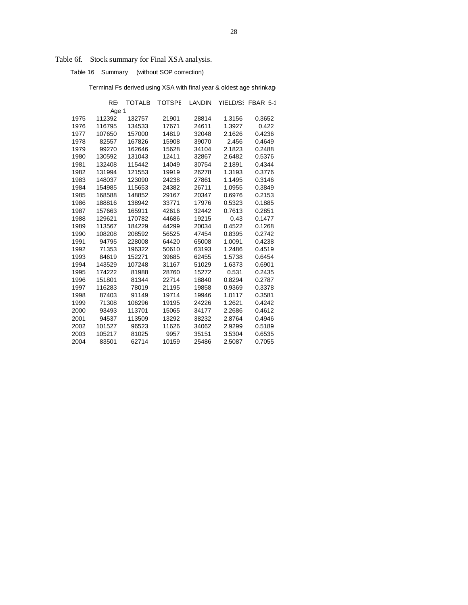# Table 6f. Stock summary for Final XSA analysis.

Table 16 Summary (without SOP correction)

Terminal Fs derived using XSA with final year & oldest age shrinkage

|      | RE     | <b>TOTALE</b> | <b>TOTSPE</b> | <b>LANDIN</b> |        | YIELD/S: FBAR 5-1 |
|------|--------|---------------|---------------|---------------|--------|-------------------|
|      | Age 1  |               |               |               |        |                   |
| 1975 | 112392 | 132757        | 21901         | 28814         | 1.3156 | 0.3652            |
| 1976 | 116795 | 134533        | 17671         | 24611         | 1.3927 | 0.422             |
| 1977 | 107650 | 157000        | 14819         | 32048         | 2.1626 | 0.4236            |
| 1978 | 82557  | 167826        | 15908         | 39070         | 2.456  | 0.4649            |
| 1979 | 99270  | 162646        | 15628         | 34104         | 2.1823 | 0.2488            |
| 1980 | 130592 | 131043        | 12411         | 32867         | 2.6482 | 0.5376            |
| 1981 | 132408 | 115442        | 14049         | 30754         | 2.1891 | 0.4344            |
| 1982 | 131994 | 121553        | 19919         | 26278         | 1.3193 | 0.3776            |
| 1983 | 148037 | 123090        | 24238         | 27861         | 1.1495 | 0.3146            |
| 1984 | 154985 | 115653        | 24382         | 26711         | 1.0955 | 0.3849            |
| 1985 | 168588 | 148852        | 29167         | 20347         | 0.6976 | 0.2153            |
| 1986 | 188816 | 138942        | 33771         | 17976         | 0.5323 | 0.1885            |
| 1987 | 157663 | 165911        | 42616         | 32442         | 0.7613 | 0.2851            |
| 1988 | 129621 | 170782        | 44686         | 19215         | 0.43   | 0.1477            |
| 1989 | 113567 | 184229        | 44299         | 20034         | 0.4522 | 0.1268            |
| 1990 | 108208 | 208592        | 56525         | 47454         | 0.8395 | 0.2742            |
| 1991 | 94795  | 228008        | 64420         | 65008         | 1.0091 | 0.4238            |
| 1992 | 71353  | 196322        | 50610         | 63193         | 1.2486 | 0.4519            |
| 1993 | 84619  | 152271        | 39685         | 62455         | 1.5738 | 0.6454            |
| 1994 | 143529 | 107248        | 31167         | 51029         | 1.6373 | 0.6901            |
| 1995 | 174222 | 81988         | 28760         | 15272         | 0.531  | 0.2435            |
| 1996 | 151801 | 81344         | 22714         | 18840         | 0.8294 | 0.2787            |
| 1997 | 116283 | 78019         | 21195         | 19858         | 0.9369 | 0.3378            |
| 1998 | 87403  | 91149         | 19714         | 19946         | 1.0117 | 0.3581            |
| 1999 | 71308  | 106296        | 19195         | 24226         | 1.2621 | 0.4242            |
| 2000 | 93493  | 113701        | 15065         | 34177         | 2.2686 | 0.4612            |
| 2001 | 94537  | 113509        | 13292         | 38232         | 2.8764 | 0.4946            |
| 2002 | 101527 | 96523         | 11626         | 34062         | 2.9299 | 0.5189            |
| 2003 | 105217 | 81025         | 9957          | 35151         | 3.5304 | 0.6535            |
| 2004 | 83501  | 62714         | 10159         | 25486         | 2.5087 | 0.7055            |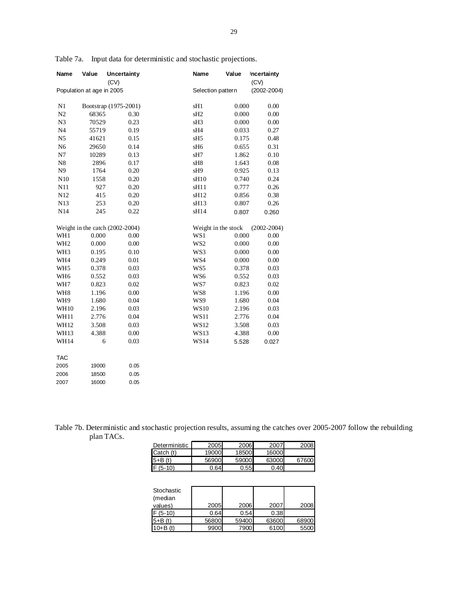| Name            | Value                     | <b>Uncertainty</b>              | Name             | Value               | Incertainty     |
|-----------------|---------------------------|---------------------------------|------------------|---------------------|-----------------|
|                 |                           | (CV)                            |                  |                     | (CV)            |
|                 | Population at age in 2005 |                                 |                  | Selection pattern   | $(2002 - 2004)$ |
|                 |                           |                                 |                  |                     |                 |
| N1              |                           | Bootstrap (1975-2001)           | sH1              | 0.000               | 0.00            |
| N2              | 68365                     | 0.30                            | sH <sub>2</sub>  | 0.000               | 0.00            |
| N <sub>3</sub>  | 70529                     | 0.23                            | sH <sub>3</sub>  | 0.000               | 0.00            |
| N <sub>4</sub>  | 55719                     | 0.19                            | sH4              | 0.033               | 0.27            |
| N <sub>5</sub>  | 41621                     | 0.15                            | sH <sub>5</sub>  | 0.175               | 0.48            |
| N <sub>6</sub>  | 29650                     | 0.14                            | sH6              | 0.655               | 0.31            |
| N7              | 10289                     | 0.13                            | sH7              | 1.862               | 0.10            |
| ${\bf N8}$      | 2896                      | 0.17                            | sH8              | 1.643               | 0.08            |
| N <sub>9</sub>  | 1764                      | 0.20                            | sH <sub>9</sub>  | 0.925               | 0.13            |
| N10             | 1558                      | 0.20                            | sH10             | 0.740               | 0.24            |
| N11             | 927                       | 0.20                            | sH11             | 0.777               | 0.26            |
| N12             | 415                       | 0.20                            | sH12             | 0.856               | 0.38            |
| N13             | 253                       | 0.20                            | sH <sub>13</sub> | 0.807               | 0.26            |
| N14             | 245                       | 0.22                            | sH14             | 0.807               | 0.260           |
|                 |                           | Weight in the catch (2002-2004) |                  | Weight in the stock | $(2002 - 2004)$ |
| WH1             | 0.000                     | 0.00                            | WS1              | 0.000               | 0.00            |
| WH <sub>2</sub> | 0.000                     | 0.00                            | WS <sub>2</sub>  | 0.000               | 0.00            |
| WH <sub>3</sub> | 0.195                     | 0.10                            | WS3              | 0.000               | 0.00            |
| WH4             | 0.249                     | 0.01                            | WS4              | 0.000               | 0.00            |
| WH <sub>5</sub> | 0.378                     | 0.03                            | WS5              | 0.378               | 0.03            |
| WH <sub>6</sub> | 0.552                     | 0.03                            | WS6              | 0.552               | 0.03            |
| WH7             | 0.823                     | 0.02                            | WS7              | 0.823               | 0.02            |
| WH <sub>8</sub> | 1.196                     | 0.00                            | WS8              | 1.196               | 0.00            |
| WH <sub>9</sub> | 1.680                     | 0.04                            | WS9              | 1.680               | 0.04            |
| <b>WH10</b>     | 2.196                     | 0.03                            | <b>WS10</b>      | 2.196               | 0.03            |
| WH11            | 2.776                     | 0.04                            | <b>WS11</b>      | 2.776               | 0.04            |
| WH12            | 3.508                     | 0.03                            | <b>WS12</b>      | 3.508               | 0.03            |
| WH13            | 4.388                     | 0.00                            | <b>WS13</b>      | 4.388               | 0.00            |
| WH14            | 6                         | 0.03                            | <b>WS14</b>      | 5.528               | 0.027           |
| <b>TAC</b>      |                           |                                 |                  |                     |                 |
| 2005            | 19000                     | 0.05                            |                  |                     |                 |
| 2006            | 18500                     | 0.05                            |                  |                     |                 |
| 2007            | 16000                     | 0.05                            |                  |                     |                 |

Table 7a. Input data for deterministic and stochastic projections.

Table 7b. Deterministic and stochastic projection results, assuming the catches over 2005-2007 follow the rebuilding plan TACs.

| Deterministic | 2005  | 2006  | 2007  | 2008  |
|---------------|-------|-------|-------|-------|
| Catch (t)     | 19000 | 18500 | 16000 |       |
| $5+B(t)$      | 56900 | 59000 | 63000 | 67600 |
| $F(5-10)$     | 0.641 | 0.55  | 0.40  |       |

| Stochastic<br>(median |       |       |       |       |
|-----------------------|-------|-------|-------|-------|
| values)               | 2005  | 2006  | 2007  | 2008  |
| $F(5-10)$             | 0.64  | 0.54  | 0.38  |       |
| $5 + B(t)$            | 56800 | 59400 | 63600 | 68900 |
| $10 + B(t)$           | 9900  | 7900  | 6100  | 5500  |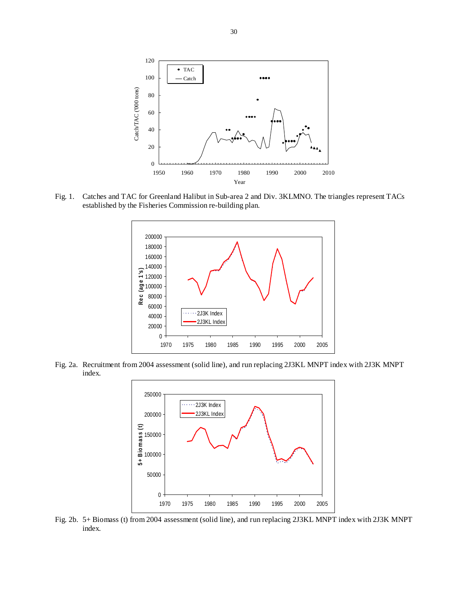

Fig. 1. Catches and TAC for Greenland Halibut in Sub-area 2 and Div. 3KLMNO. The triangles represent TACs established by the Fisheries Commission re-building plan.



Fig. 2a. Recruitment from 2004 assessment (solid line), and run replacing 2J3KL MNPT index with 2J3K MNPT index.



Fig. 2b. 5+ Biomass (t) from 2004 assessment (solid line), and run replacing 2J3KL MNPT index with 2J3K MNPT index.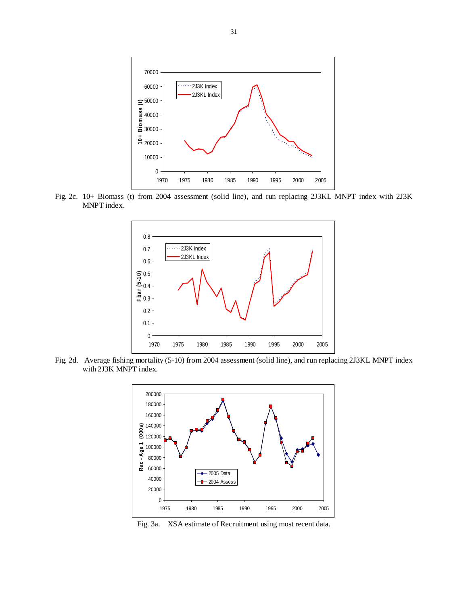

Fig. 2c. 10+ Biomass (t) from 2004 assessment (solid line), and run replacing 2J3KL MNPT index with 2J3K MNPT index.



Fig. 2d. Average fishing mortality (5-10) from 2004 assessment (solid line), and run replacing 2J3KL MNPT index with 2J3K MNPT index.



Fig. 3a. XSA estimate of Recruitment using most recent data.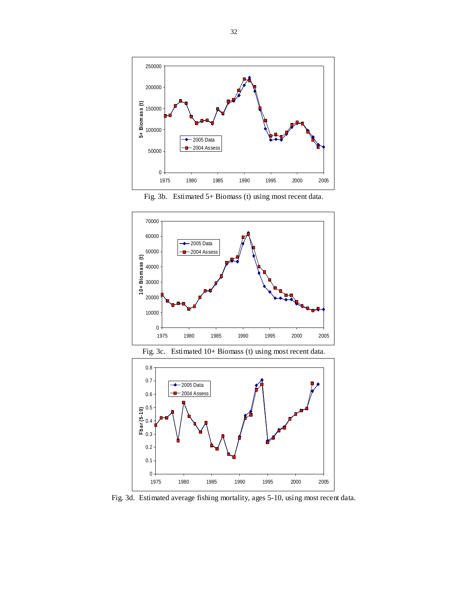

Fig. 3b. Estimated 5+ Biomass (t) using most recent data.







Fig. 3d. Estimated average fishing mortality, ages 5-10, using most recent data.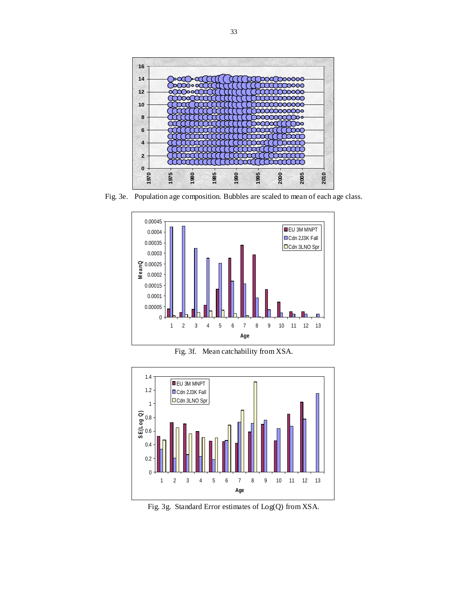

Fig. 3e. Population age composition. Bubbles are scaled to mean of each age class.



Fig. 3f. Mean catchability from XSA.



Fig. 3g. Standard Error estimates of Log(Q) from XSA.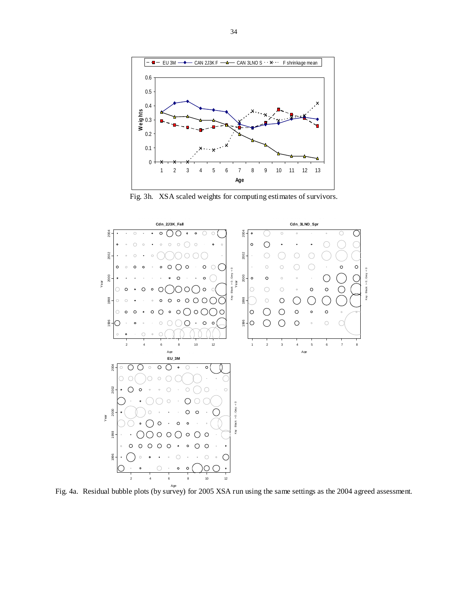

Fig. 3h. XSA scaled weights for computing estimates of survivors.



Fig. 4a. Residual bubble plots (by survey) for 2005 XSA run using the same settings as the 2004 agreed assessment.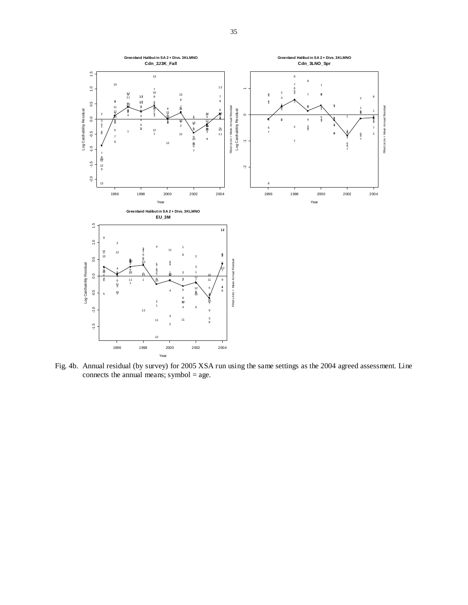

Fig. 4b. Annual residual (by survey) for 2005 XSA run using the same settings as the 2004 agreed assessment. Line connects the annual means; symbol = age.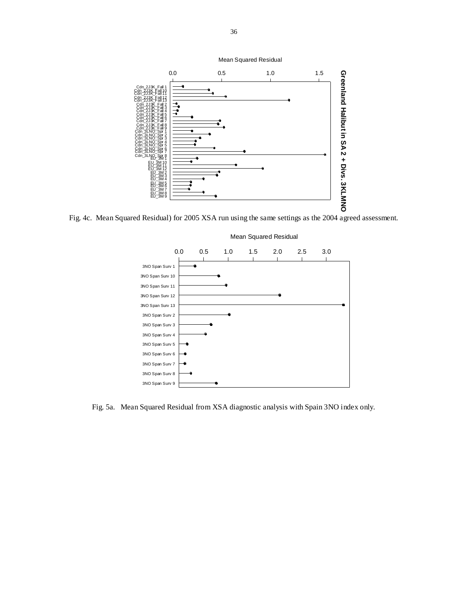

Fig. 4c. Mean Squared Residual) for 2005 XSA run using the same settings as the 2004 agreed assessment.



Fig. 5a. Mean Squared Residual from XSA diagnostic analysis with Spain 3NO index only.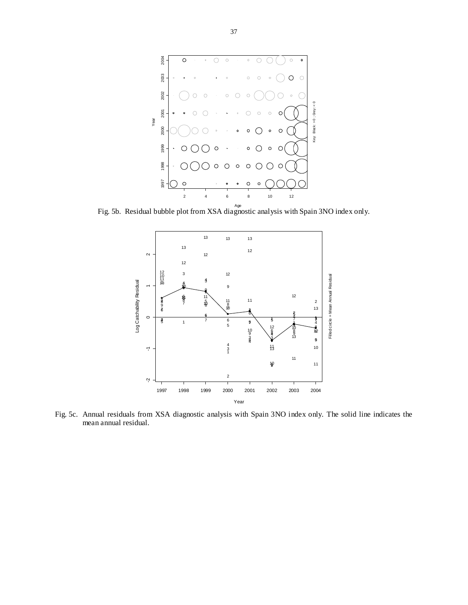

Fig. 5b. Residual bubble plot from XSA diagnostic analysis with Spain 3NO index only.

![](_page_36_Figure_2.jpeg)

Fig. 5c. Annual residuals from XSA diagnostic analysis with Spain 3NO index only. The solid line indicates the mean annual residual.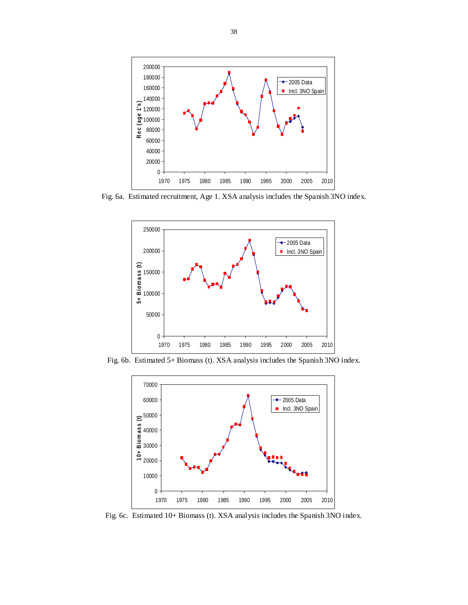![](_page_37_Figure_0.jpeg)

Fig. 6a. Estimated recruitment, Age 1. XSA analysis includes the Spanish 3NO index.

![](_page_37_Figure_2.jpeg)

Fig. 6b. Estimated 5+ Biomass (t). XSA analysis includes the Spanish 3NO index.

![](_page_37_Figure_4.jpeg)

Fig. 6c. Estimated 10+ Biomass (t). XSA analysis includes the Spanish 3NO index.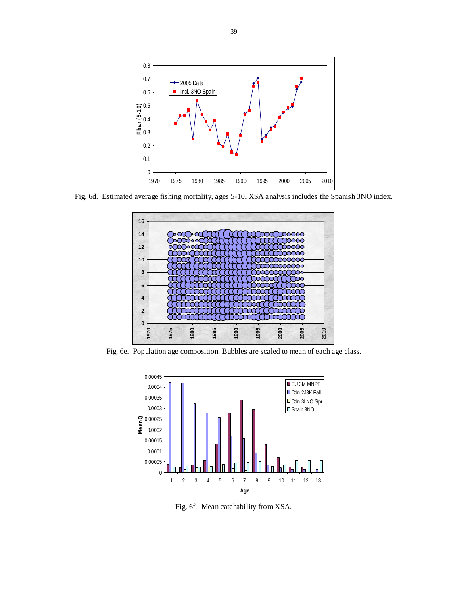![](_page_38_Figure_0.jpeg)

Fig. 6d. Estimated average fishing mortality, ages 5-10. XSA analysis includes the Spanish 3NO index.

![](_page_38_Figure_2.jpeg)

Fig. 6e. Population age composition. Bubbles are scaled to mean of each age class.

![](_page_38_Figure_4.jpeg)

Fig. 6f. Mean catchability from XSA.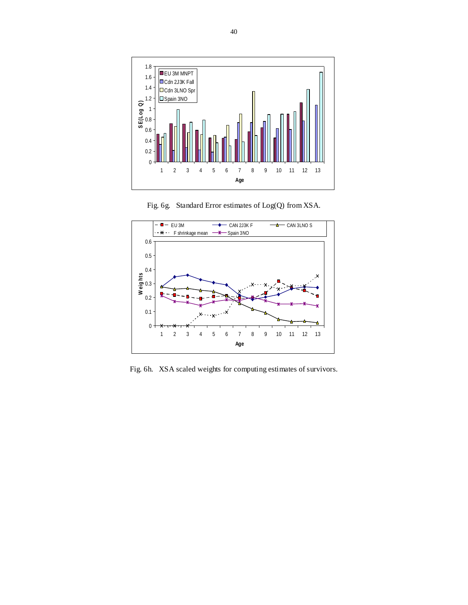![](_page_39_Figure_0.jpeg)

Fig. 6g. Standard Error estimates of Log(Q) from XSA.

![](_page_39_Figure_2.jpeg)

Fig. 6h. XSA scaled weights for computing estimates of survivors.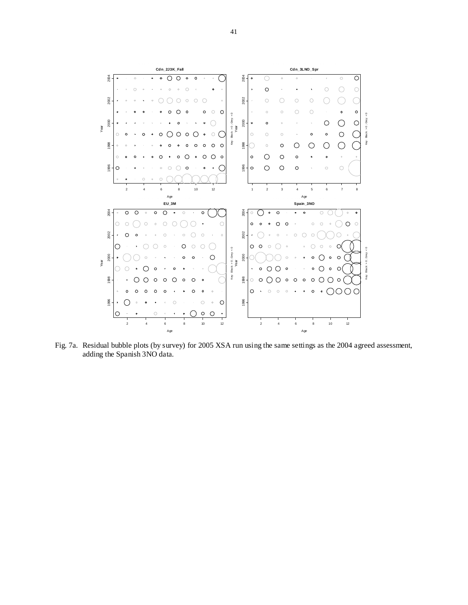![](_page_40_Figure_0.jpeg)

Fig. 7a. Residual bubble plots (by survey) for 2005 XSA run using the same settings as the 2004 agreed assessment, adding the Spanish 3NO data.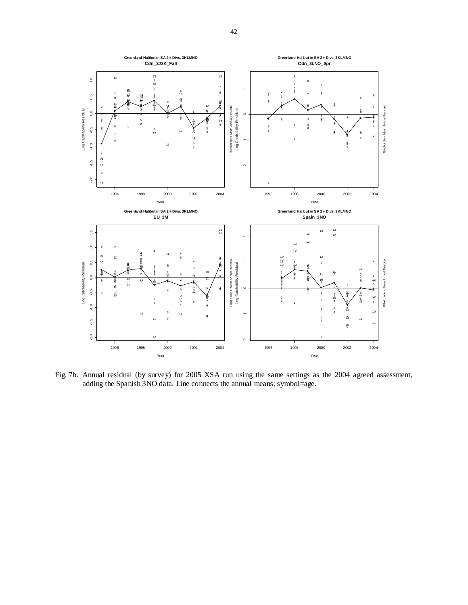![](_page_41_Figure_0.jpeg)

Fig. 7b. Annual residual (by survey) for 2005 XSA run using the same settings as the 2004 agreed assessment, adding the Spanish 3NO data. Line connects the annual means; symbol=age.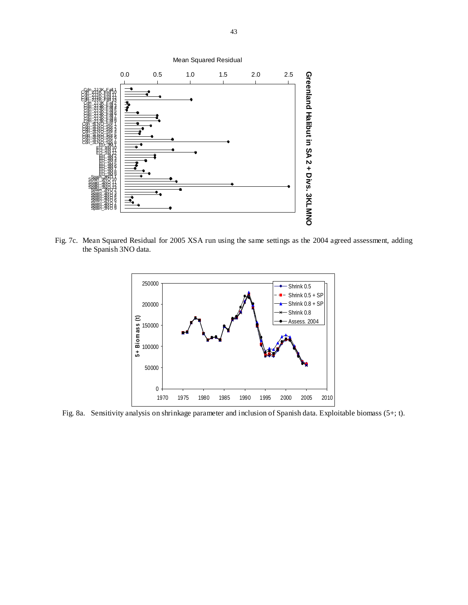![](_page_42_Figure_0.jpeg)

Fig. 7c. Mean Squared Residual for 2005 XSA run using the same settings as the 2004 agreed assessment, adding the Spanish 3NO data.

![](_page_42_Figure_2.jpeg)

Fig. 8a. Sensitivity analysis on shrinkage parameter and inclusion of Spanish data. Exploitable biomass (5+; t).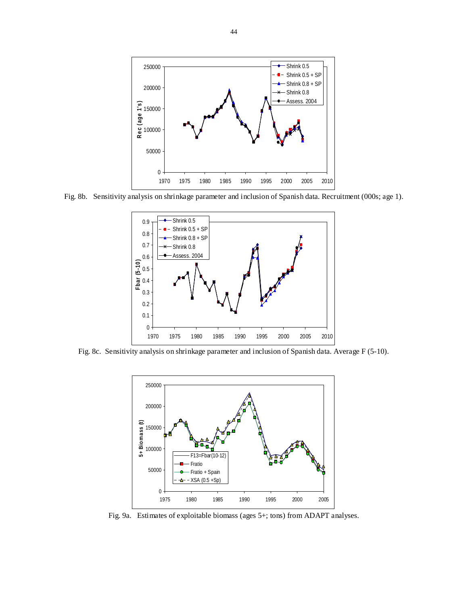![](_page_43_Figure_0.jpeg)

Fig. 8b. Sensitivity analysis on shrinkage parameter and inclusion of Spanish data. Recruitment (000s; age 1).

![](_page_43_Figure_2.jpeg)

Fig. 8c. Sensitivity analysis on shrinkage parameter and inclusion of Spanish data. Average F (5-10).

![](_page_43_Figure_4.jpeg)

Fig. 9a. Estimates of exploitable biomass (ages 5+; tons) from ADAPT analyses.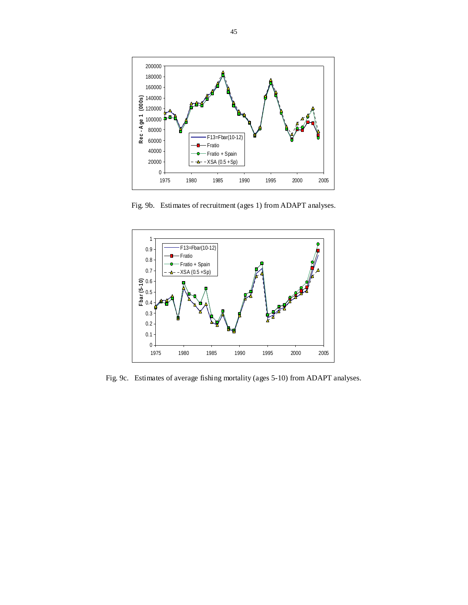![](_page_44_Figure_0.jpeg)

Fig. 9b. Estimates of recruitment (ages 1) from ADAPT analyses.

![](_page_44_Figure_2.jpeg)

Fig. 9c. Estimates of average fishing mortality (ages 5-10) from ADAPT analyses.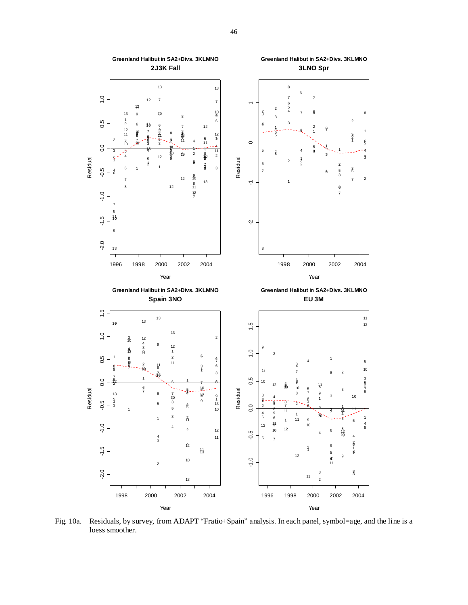![](_page_45_Figure_0.jpeg)

Fig. 10a. Residuals, by survey, from ADAPT "Fratio+Spain" analysis. In each panel, symbol=age, and the line is a loess smoother.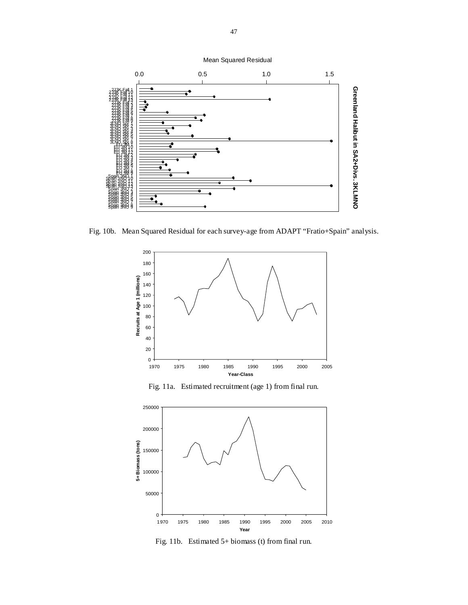![](_page_46_Figure_0.jpeg)

Fig. 10b. Mean Squared Residual for each survey-age from ADAPT "Fratio+Spain" analysis.

![](_page_46_Figure_2.jpeg)

Fig. 11a. Estimated recruitment (age 1) from final run.

![](_page_46_Figure_4.jpeg)

Fig. 11b. Estimated 5+ biomass (t) from final run.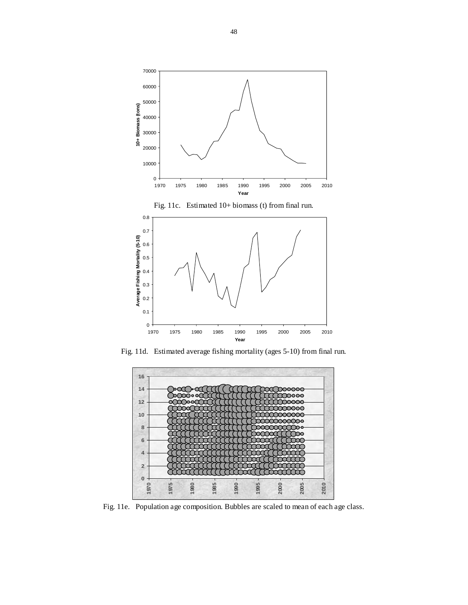![](_page_47_Figure_0.jpeg)

Fig. 11d. Estimated average fishing mortality (ages 5-10) from final run.

![](_page_47_Figure_2.jpeg)

Fig. 11e. Population age composition. Bubbles are scaled to mean of each age class.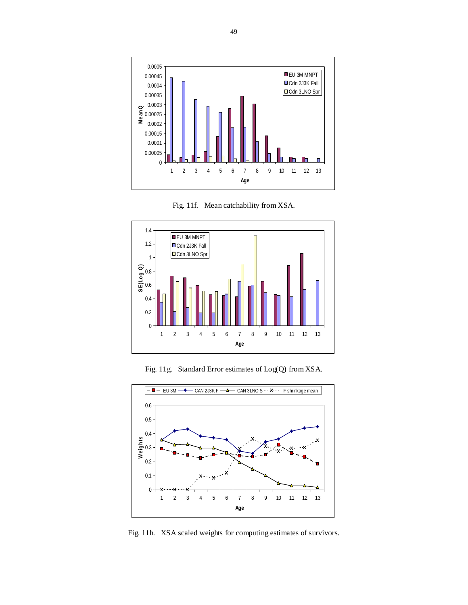![](_page_48_Figure_0.jpeg)

Fig. 11f. Mean catchability from XSA.

![](_page_48_Figure_2.jpeg)

Fig. 11g. Standard Error estimates of Log(Q) from XSA.

![](_page_48_Figure_4.jpeg)

Fig. 11h. XSA scaled weights for computing estimates of survivors.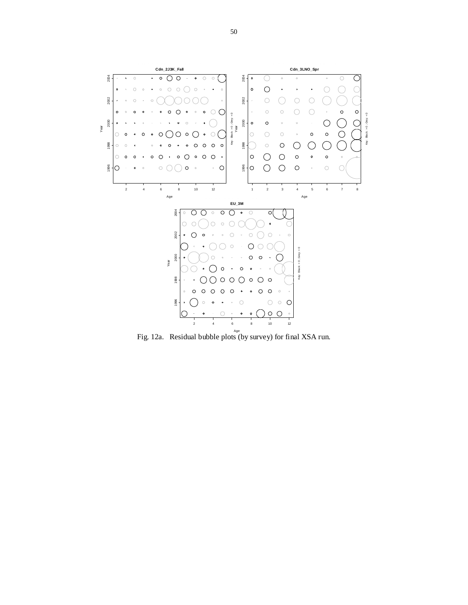![](_page_49_Figure_0.jpeg)

Age Fig. 12a. Residual bubble plots (by survey) for final XSA run.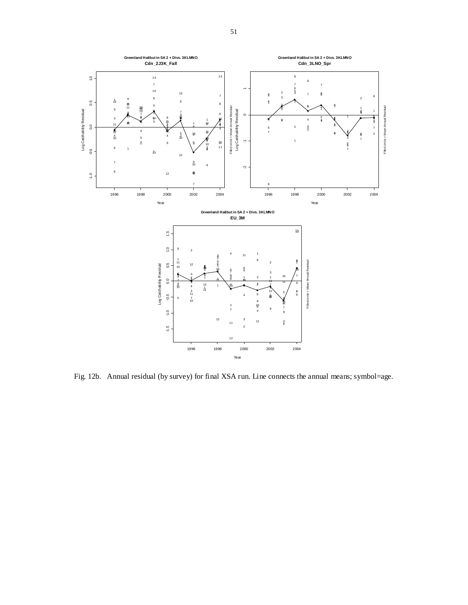![](_page_50_Figure_0.jpeg)

Fig. 12b. Annual residual (by survey) for final XSA run. Line connects the annual means; symbol=age.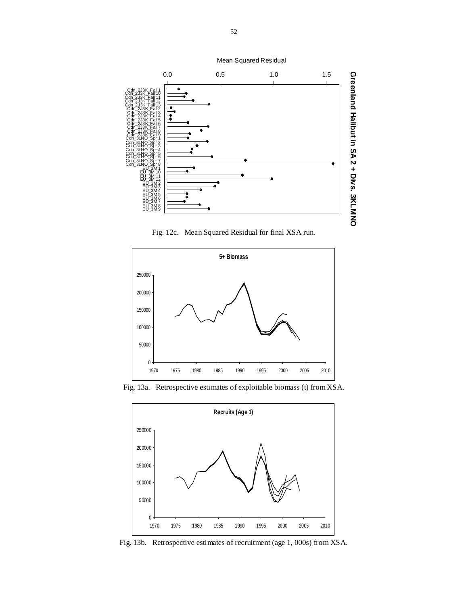![](_page_51_Figure_0.jpeg)

Mean Squared Residual

Fig. 12c. Mean Squared Residual for final XSA run.

![](_page_51_Figure_3.jpeg)

Fig. 13a. Retrospective estimates of exploitable biomass (t) from XSA.

![](_page_51_Figure_5.jpeg)

Fig. 13b. Retrospective estimates of recruitment (age 1, 000s) from XSA.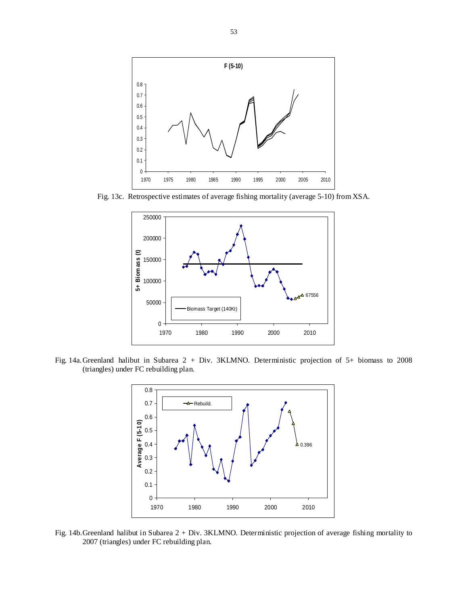![](_page_52_Figure_0.jpeg)

Fig. 13c. Retrospective estimates of average fishing mortality (average 5-10) from XSA.

![](_page_52_Figure_2.jpeg)

Fig. 14a. Greenland halibut in Subarea 2 + Div. 3KLMNO. Deterministic projection of 5+ biomass to 2008 (triangles) under FC rebuilding plan.

![](_page_52_Figure_4.jpeg)

Fig. 14b.Greenland halibut in Subarea 2 + Div. 3KLMNO. Deterministic projection of average fishing mortality to 2007 (triangles) under FC rebuilding plan.